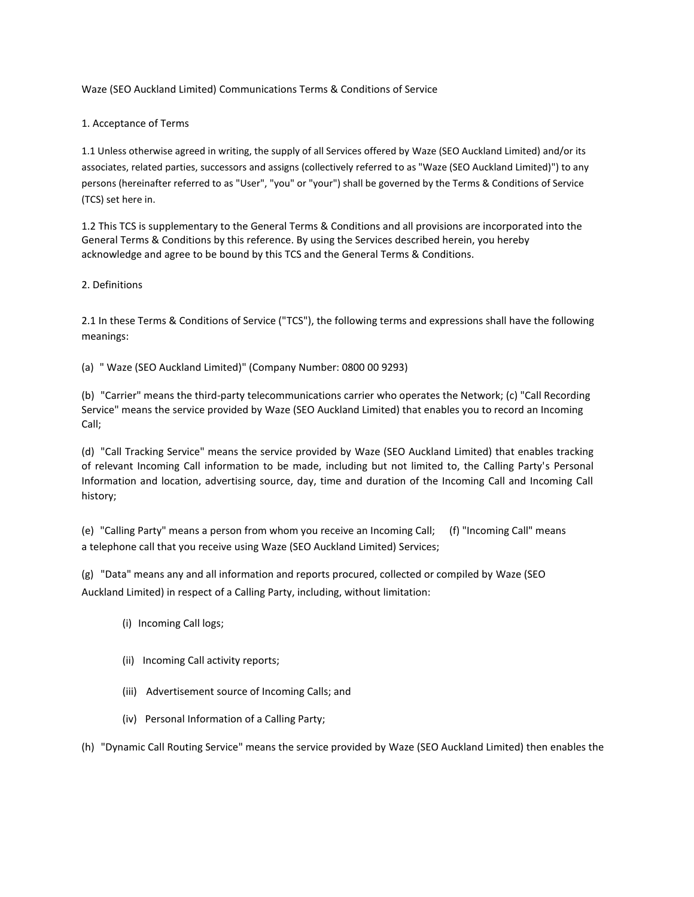Waze (SEO Auckland Limited) Communications Terms & Conditions of Service

1. Acceptance of Terms

1.1 Unless otherwise agreed in writing, the supply of all Services offered by Waze (SEO Auckland Limited) and/or its associates, related parties, successors and assigns (collectively referred to as "Waze (SEO Auckland Limited)") to any persons (hereinafter referred to as "User", "you" or "your") shall be governed by the Terms & Conditions of Service (TCS) set here in.

1.2 This TCS is supplementary to the General Terms & Conditions and all provisions are incorporated into the General Terms & Conditions by this reference. By using the Services described herein, you hereby acknowledge and agree to be bound by this TCS and the General Terms & Conditions.

# 2. Definitions

2.1 In these Terms & Conditions of Service ("TCS"), the following terms and expressions shall have the following meanings:

(a) " Waze (SEO Auckland Limited)" (Company Number: 0800 00 9293)

(b) "Carrier" means the third-party telecommunications carrier who operates the Network; (c) "Call Recording Service" means the service provided by Waze (SEO Auckland Limited) that enables you to record an Incoming Call;

(d) "Call Tracking Service" means the service provided by Waze (SEO Auckland Limited) that enables tracking of relevant Incoming Call information to be made, including but not limited to, the Calling Party's Personal Information and location, advertising source, day, time and duration of the Incoming Call and Incoming Call history;

(e) "Calling Party" means a person from whom you receive an Incoming Call; (f) "Incoming Call" means a telephone call that you receive using Waze (SEO Auckland Limited) Services;

(g) "Data" means any and all information and reports procured, collected or compiled by Waze (SEO Auckland Limited) in respect of a Calling Party, including, without limitation:

- (i) Incoming Call logs;
- (ii) Incoming Call activity reports;
- (iii) Advertisement source of Incoming Calls; and
- (iv) Personal Information of a Calling Party;

(h) "Dynamic Call Routing Service" means the service provided by Waze (SEO Auckland Limited) then enables the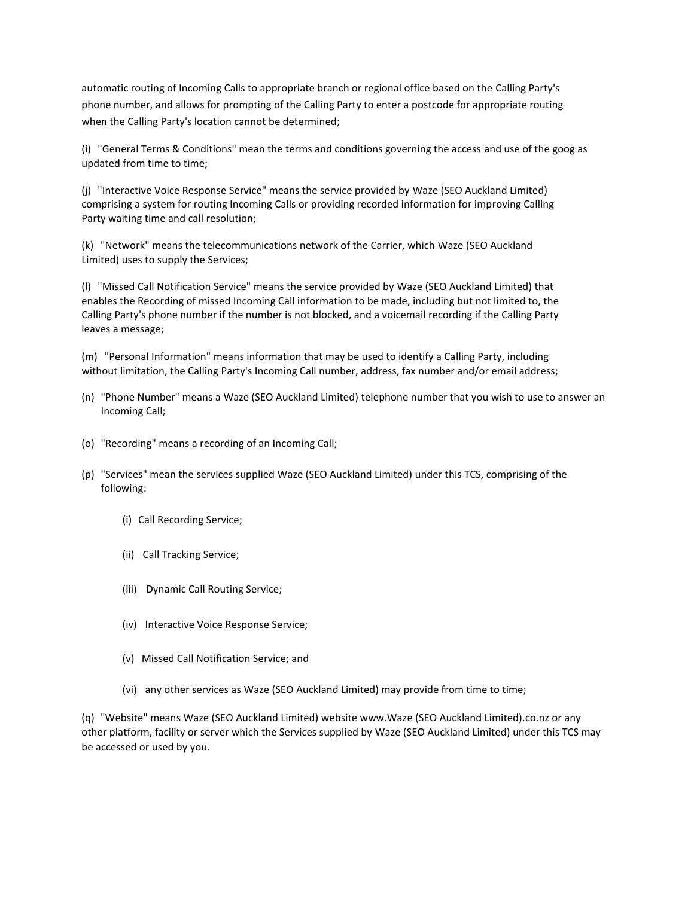automatic routing of Incoming Calls to appropriate branch or regional office based on the Calling Party's phone number, and allows for prompting of the Calling Party to enter a postcode for appropriate routing when the Calling Party's location cannot be determined;

(i) "General Terms & Conditions" mean the terms and conditions governing the access and use of the goog as updated from time to time;

(j) "Interactive Voice Response Service" means the service provided by Waze (SEO Auckland Limited) comprising a system for routing Incoming Calls or providing recorded information for improving Calling Party waiting time and call resolution;

(k) "Network" means the telecommunications network of the Carrier, which Waze (SEO Auckland Limited) uses to supply the Services;

(l) "Missed Call Notification Service" means the service provided by Waze (SEO Auckland Limited) that enables the Recording of missed Incoming Call information to be made, including but not limited to, the Calling Party's phone number if the number is not blocked, and a voicemail recording if the Calling Party leaves a message;

(m) "Personal Information" means information that may be used to identify a Calling Party, including without limitation, the Calling Party's Incoming Call number, address, fax number and/or email address;

- (n) "Phone Number" means a Waze (SEO Auckland Limited) telephone number that you wish to use to answer an Incoming Call;
- (o) "Recording" means a recording of an Incoming Call;
- (p) "Services" mean the services supplied Waze (SEO Auckland Limited) under this TCS, comprising of the following:
	- (i) Call Recording Service;
	- (ii) Call Tracking Service;
	- (iii) Dynamic Call Routing Service;
	- (iv) Interactive Voice Response Service;
	- (v) Missed Call Notification Service; and
	- (vi) any other services as Waze (SEO Auckland Limited) may provide from time to time;

(q) "Website" means Waze (SEO Auckland Limited) website www.Waze (SEO Auckland Limited).co.nz or any other platform, facility or server which the Services supplied by Waze (SEO Auckland Limited) under this TCS may be accessed or used by you.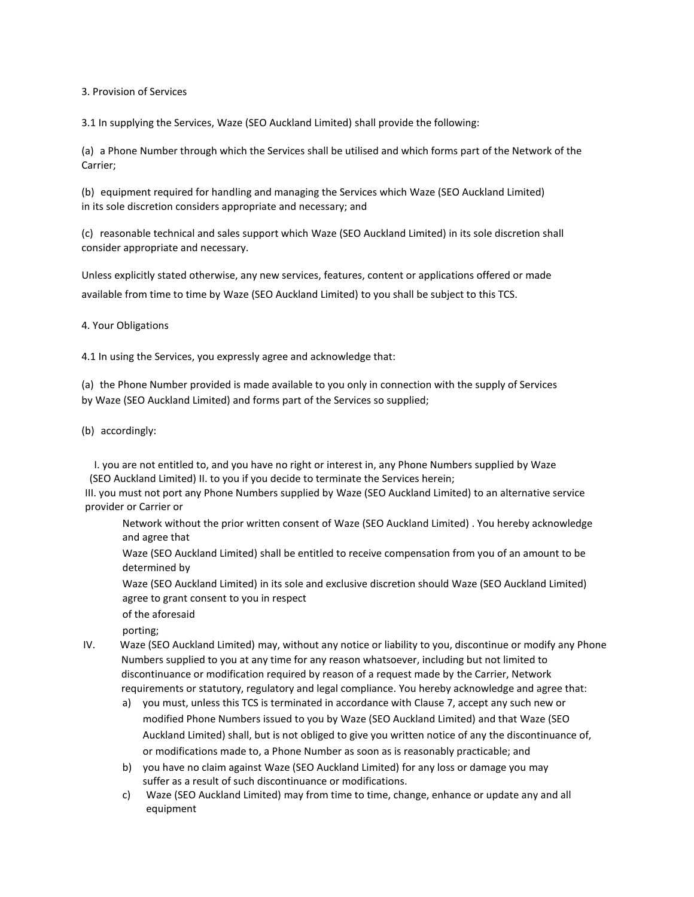3. Provision of Services

3.1 In supplying the Services, Waze (SEO Auckland Limited) shall provide the following:

(a) a Phone Number through which the Services shall be utilised and which forms part of the Network of the Carrier;

(b) equipment required for handling and managing the Services which Waze (SEO Auckland Limited) in its sole discretion considers appropriate and necessary; and

(c) reasonable technical and sales support which Waze (SEO Auckland Limited) in its sole discretion shall consider appropriate and necessary.

Unless explicitly stated otherwise, any new services, features, content or applications offered or made available from time to time by Waze (SEO Auckland Limited) to you shall be subject to this TCS.

4. Your Obligations

4.1 In using the Services, you expressly agree and acknowledge that:

(a) the Phone Number provided is made available to you only in connection with the supply of Services by Waze (SEO Auckland Limited) and forms part of the Services so supplied;

(b) accordingly:

I. you are not entitled to, and you have no right or interest in, any Phone Numbers supplied by Waze (SEO Auckland Limited) II. to you if you decide to terminate the Services herein;

III. you must not port any Phone Numbers supplied by Waze (SEO Auckland Limited) to an alternative service provider or Carrier or

Network without the prior written consent of Waze (SEO Auckland Limited) . You hereby acknowledge and agree that

Waze (SEO Auckland Limited) shall be entitled to receive compensation from you of an amount to be determined by

Waze (SEO Auckland Limited) in its sole and exclusive discretion should Waze (SEO Auckland Limited) agree to grant consent to you in respect

of the aforesaid

porting;

- IV. Waze (SEO Auckland Limited) may, without any notice or liability to you, discontinue or modify any Phone Numbers supplied to you at any time for any reason whatsoever, including but not limited to discontinuance or modification required by reason of a request made by the Carrier, Network requirements or statutory, regulatory and legal compliance. You hereby acknowledge and agree that:
	- a) you must, unless this TCS is terminated in accordance with Clause 7, accept any such new or modified Phone Numbers issued to you by Waze (SEO Auckland Limited) and that Waze (SEO Auckland Limited) shall, but is not obliged to give you written notice of any the discontinuance of, or modifications made to, a Phone Number as soon as is reasonably practicable; and
	- b) you have no claim against Waze (SEO Auckland Limited) for any loss or damage you may suffer as a result of such discontinuance or modifications.
	- c) Waze (SEO Auckland Limited) may from time to time, change, enhance or update any and all equipment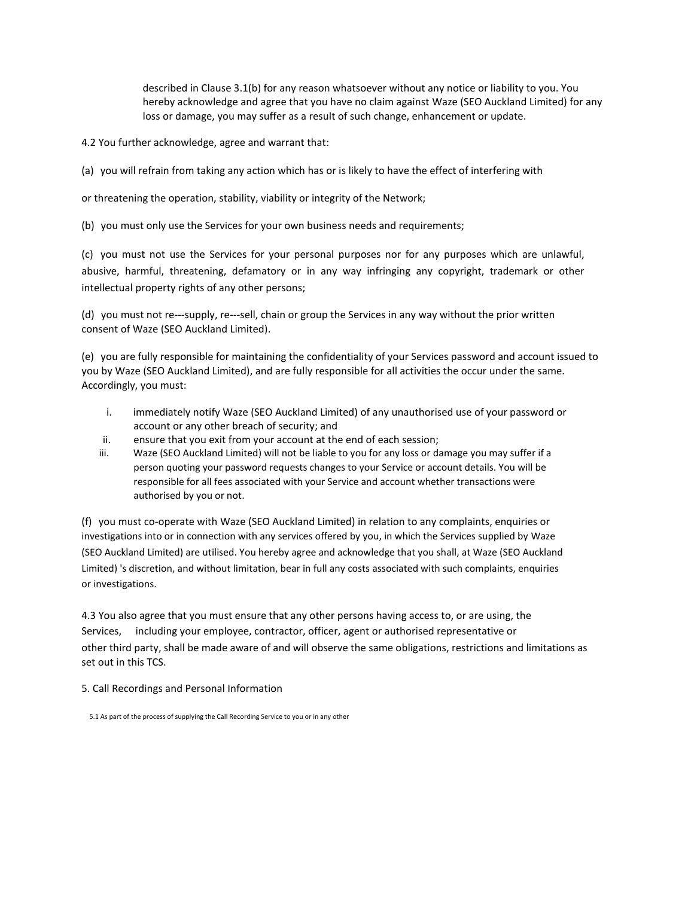described in Clause 3.1(b) for any reason whatsoever without any notice or liability to you. You hereby acknowledge and agree that you have no claim against Waze (SEO Auckland Limited) for any loss or damage, you may suffer as a result of such change, enhancement or update.

4.2 You further acknowledge, agree and warrant that:

(a) you will refrain from taking any action which has or is likely to have the effect of interfering with

or threatening the operation, stability, viability or integrity of the Network;

(b) you must only use the Services for your own business needs and requirements;

(c) you must not use the Services for your personal purposes nor for any purposes which are unlawful, abusive, harmful, threatening, defamatory or in any way infringing any copyright, trademark or other intellectual property rights of any other persons;

(d) you must not re---supply, re---sell, chain or group the Services in any way without the prior written consent of Waze (SEO Auckland Limited).

(e) you are fully responsible for maintaining the confidentiality of your Services password and account issued to you by Waze (SEO Auckland Limited), and are fully responsible for all activities the occur under the same. Accordingly, you must:

- i. immediately notify Waze (SEO Auckland Limited) of any unauthorised use of your password or account or any other breach of security; and
- ii. ensure that you exit from your account at the end of each session;
- iii. Waze (SEO Auckland Limited) will not be liable to you for any loss or damage you may suffer if a person quoting your password requests changes to your Service or account details. You will be responsible for all fees associated with your Service and account whether transactions were authorised by you or not.

(f) you must co-operate with Waze (SEO Auckland Limited) in relation to any complaints, enquiries or investigations into or in connection with any services offered by you, in which the Services supplied by Waze (SEO Auckland Limited) are utilised. You hereby agree and acknowledge that you shall, at Waze (SEO Auckland Limited) 's discretion, and without limitation, bear in full any costs associated with such complaints, enquiries or investigations.

4.3 You also agree that you must ensure that any other persons having access to, or are using, the Services, including your employee, contractor, officer, agent or authorised representative or other third party, shall be made aware of and will observe the same obligations, restrictions and limitations as set out in this TCS.

5. Call Recordings and Personal Information

<sup>5.1</sup> As part of the process of supplying the Call Recording Service to you or in any other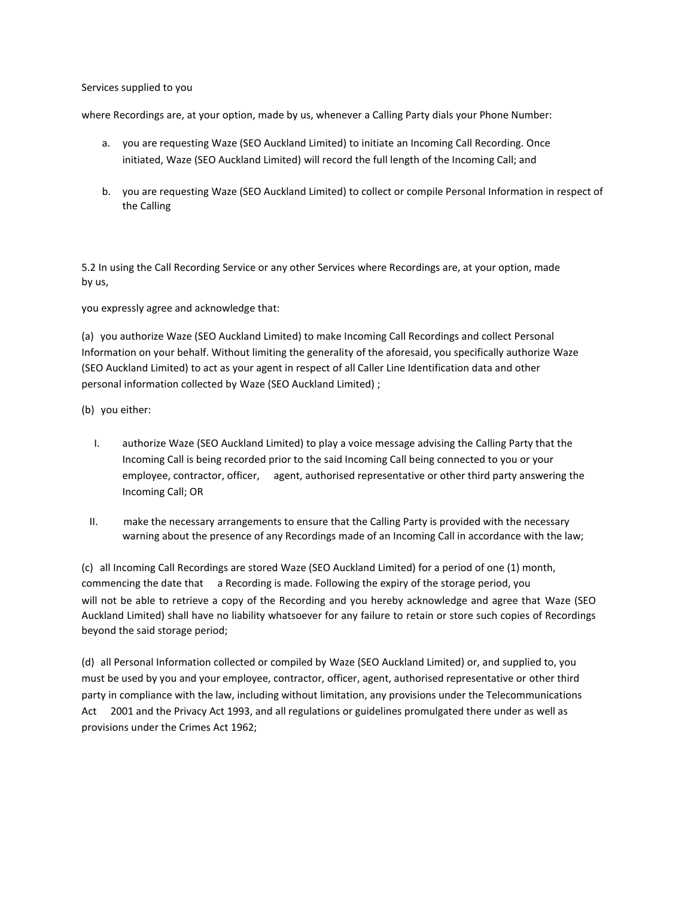### Services supplied to you

where Recordings are, at your option, made by us, whenever a Calling Party dials your Phone Number:

- a. you are requesting Waze (SEO Auckland Limited) to initiate an Incoming Call Recording. Once initiated, Waze (SEO Auckland Limited) will record the full length of the Incoming Call; and
- b. you are requesting Waze (SEO Auckland Limited) to collect or compile Personal Information in respect of the Calling

5.2 In using the Call Recording Service or any other Services where Recordings are, at your option, made by us,

you expressly agree and acknowledge that:

(a) you authorize Waze (SEO Auckland Limited) to make Incoming Call Recordings and collect Personal Information on your behalf. Without limiting the generality of the aforesaid, you specifically authorize Waze (SEO Auckland Limited) to act as your agent in respect of all Caller Line Identification data and other personal information collected by Waze (SEO Auckland Limited) ;

- (b) you either:
	- I. authorize Waze (SEO Auckland Limited) to play a voice message advising the Calling Party that the Incoming Call is being recorded prior to the said Incoming Call being connected to you or your employee, contractor, officer, agent, authorised representative or other third party answering the Incoming Call; OR
- II. make the necessary arrangements to ensure that the Calling Party is provided with the necessary warning about the presence of any Recordings made of an Incoming Call in accordance with the law;

(c) all Incoming Call Recordings are stored Waze (SEO Auckland Limited) for a period of one (1) month, commencing the date that a Recording is made. Following the expiry of the storage period, you will not be able to retrieve a copy of the Recording and you hereby acknowledge and agree that Waze (SEO Auckland Limited) shall have no liability whatsoever for any failure to retain or store such copies of Recordings beyond the said storage period;

(d) all Personal Information collected or compiled by Waze (SEO Auckland Limited) or, and supplied to, you must be used by you and your employee, contractor, officer, agent, authorised representative or other third party in compliance with the law, including without limitation, any provisions under the Telecommunications Act 2001 and the Privacy Act 1993, and all regulations or guidelines promulgated there under as well as provisions under the Crimes Act 1962;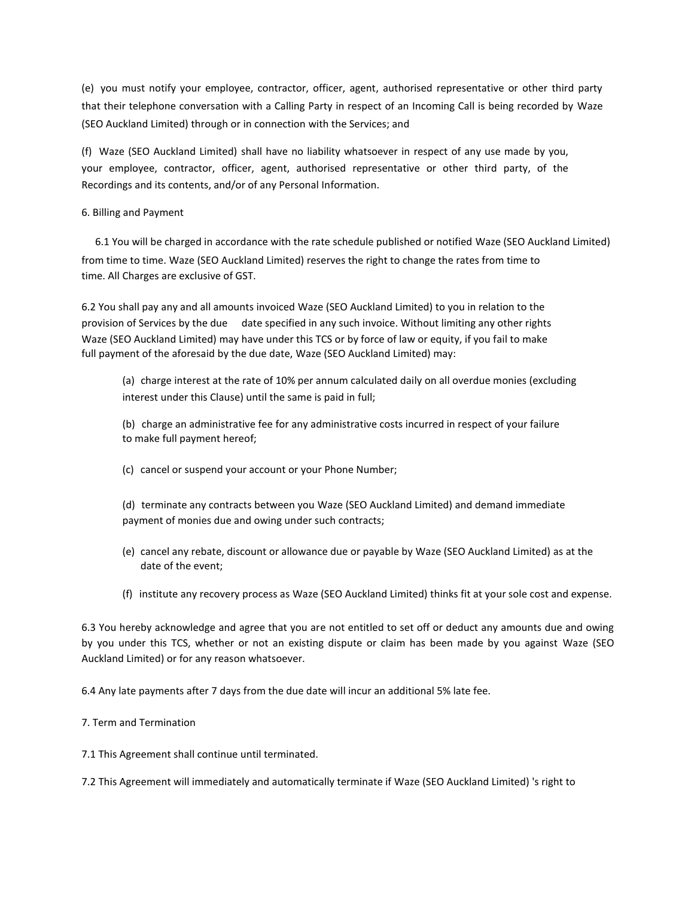(e) you must notify your employee, contractor, officer, agent, authorised representative or other third party that their telephone conversation with a Calling Party in respect of an Incoming Call is being recorded by Waze (SEO Auckland Limited) through or in connection with the Services; and

(f) Waze (SEO Auckland Limited) shall have no liability whatsoever in respect of any use made by you, your employee, contractor, officer, agent, authorised representative or other third party, of the Recordings and its contents, and/or of any Personal Information.

# 6. Billing and Payment

6.1 You will be charged in accordance with the rate schedule published or notified Waze (SEO Auckland Limited) from time to time. Waze (SEO Auckland Limited) reserves the right to change the rates from time to time. All Charges are exclusive of GST.

6.2 You shall pay any and all amounts invoiced Waze (SEO Auckland Limited) to you in relation to the provision of Services by the due date specified in any such invoice. Without limiting any other rights Waze (SEO Auckland Limited) may have under this TCS or by force of law or equity, if you fail to make full payment of the aforesaid by the due date, Waze (SEO Auckland Limited) may:

(a) charge interest at the rate of 10% per annum calculated daily on all overdue monies (excluding interest under this Clause) until the same is paid in full;

(b) charge an administrative fee for any administrative costs incurred in respect of your failure to make full payment hereof;

- (c) cancel or suspend your account or your Phone Number;
- (d) terminate any contracts between you Waze (SEO Auckland Limited) and demand immediate payment of monies due and owing under such contracts;
- (e) cancel any rebate, discount or allowance due or payable by Waze (SEO Auckland Limited) as at the date of the event;
- (f) institute any recovery process as Waze (SEO Auckland Limited) thinks fit at your sole cost and expense.

6.3 You hereby acknowledge and agree that you are not entitled to set off or deduct any amounts due and owing by you under this TCS, whether or not an existing dispute or claim has been made by you against Waze (SEO Auckland Limited) or for any reason whatsoever.

6.4 Any late payments after 7 days from the due date will incur an additional 5% late fee.

# 7. Term and Termination

7.1 This Agreement shall continue until terminated.

7.2 This Agreement will immediately and automatically terminate if Waze (SEO Auckland Limited) 's right to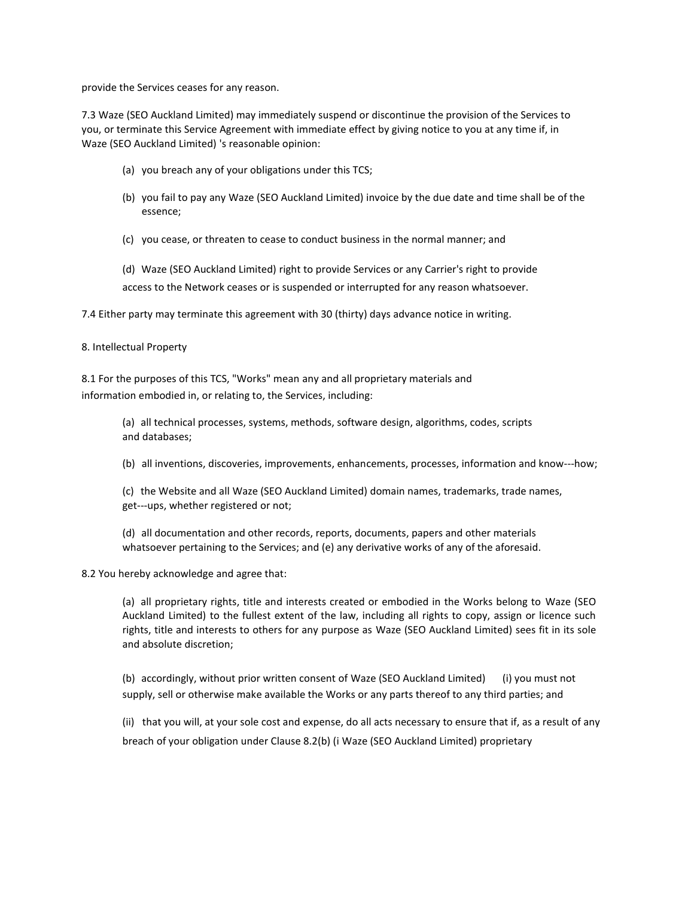provide the Services ceases for any reason.

7.3 Waze (SEO Auckland Limited) may immediately suspend or discontinue the provision of the Services to you, or terminate this Service Agreement with immediate effect by giving notice to you at any time if, in Waze (SEO Auckland Limited) 's reasonable opinion:

- (a) you breach any of your obligations under this TCS;
- (b) you fail to pay any Waze (SEO Auckland Limited) invoice by the due date and time shall be of the essence;
- (c) you cease, or threaten to cease to conduct business in the normal manner; and
- (d) Waze (SEO Auckland Limited) right to provide Services or any Carrier's right to provide access to the Network ceases or is suspended or interrupted for any reason whatsoever.

7.4 Either party may terminate this agreement with 30 (thirty) days advance notice in writing.

# 8. Intellectual Property

8.1 For the purposes of this TCS, "Works" mean any and all proprietary materials and information embodied in, or relating to, the Services, including:

> (a) all technical processes, systems, methods, software design, algorithms, codes, scripts and databases;

- (b) all inventions, discoveries, improvements, enhancements, processes, information and know---how;
- (c) the Website and all Waze (SEO Auckland Limited) domain names, trademarks, trade names, get---ups, whether registered or not;
- (d) all documentation and other records, reports, documents, papers and other materials whatsoever pertaining to the Services; and (e) any derivative works of any of the aforesaid.

8.2 You hereby acknowledge and agree that:

(a) all proprietary rights, title and interests created or embodied in the Works belong to Waze (SEO Auckland Limited) to the fullest extent of the law, including all rights to copy, assign or licence such rights, title and interests to others for any purpose as Waze (SEO Auckland Limited) sees fit in its sole and absolute discretion;

(b) accordingly, without prior written consent of Waze (SEO Auckland Limited) (i) you must not supply, sell or otherwise make available the Works or any parts thereof to any third parties; and

(ii) that you will, at your sole cost and expense, do all acts necessary to ensure that if, as a result of any breach of your obligation under Clause 8.2(b) (i Waze (SEO Auckland Limited) proprietary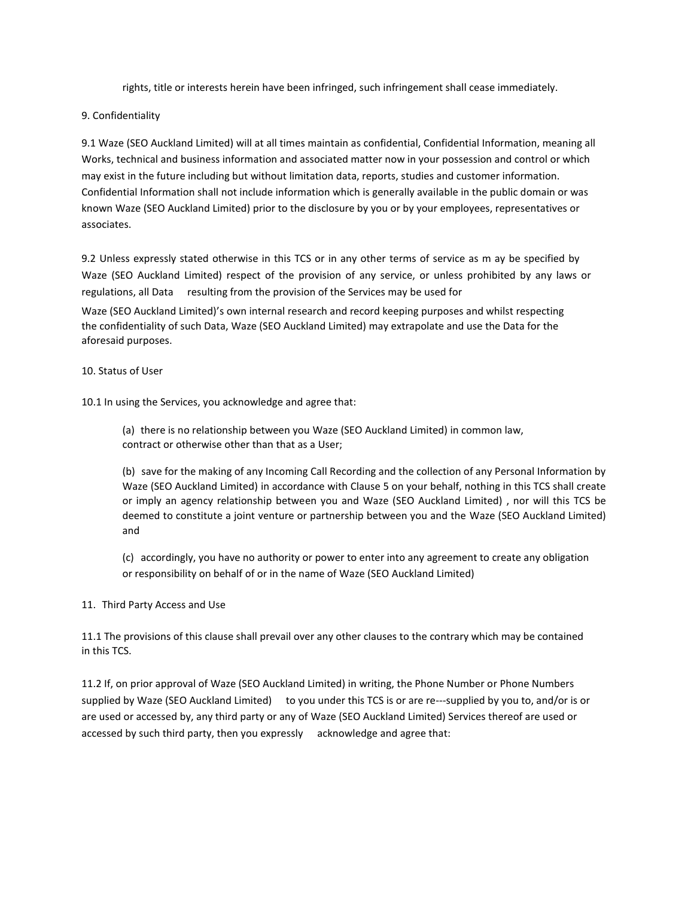rights, title or interests herein have been infringed, such infringement shall cease immediately.

9. Confidentiality

9.1 Waze (SEO Auckland Limited) will at all times maintain as confidential, Confidential Information, meaning all Works, technical and business information and associated matter now in your possession and control or which may exist in the future including but without limitation data, reports, studies and customer information. Confidential Information shall not include information which is generally available in the public domain or was known Waze (SEO Auckland Limited) prior to the disclosure by you or by your employees, representatives or associates.

9.2 Unless expressly stated otherwise in this TCS or in any other terms of service as m ay be specified by Waze (SEO Auckland Limited) respect of the provision of any service, or unless prohibited by any laws or regulations, all Data resulting from the provision of the Services may be used for

Waze (SEO Auckland Limited)'s own internal research and record keeping purposes and whilst respecting the confidentiality of such Data, Waze (SEO Auckland Limited) may extrapolate and use the Data for the aforesaid purposes.

# 10. Status of User

10.1 In using the Services, you acknowledge and agree that:

(a) there is no relationship between you Waze (SEO Auckland Limited) in common law, contract or otherwise other than that as a User;

(b) save for the making of any Incoming Call Recording and the collection of any Personal Information by Waze (SEO Auckland Limited) in accordance with Clause 5 on your behalf, nothing in this TCS shall create or imply an agency relationship between you and Waze (SEO Auckland Limited) , nor will this TCS be deemed to constitute a joint venture or partnership between you and the Waze (SEO Auckland Limited) and

(c) accordingly, you have no authority or power to enter into any agreement to create any obligation or responsibility on behalf of or in the name of Waze (SEO Auckland Limited)

# 11. Third Party Access and Use

11.1 The provisions of this clause shall prevail over any other clauses to the contrary which may be contained in this TCS.

11.2 If, on prior approval of Waze (SEO Auckland Limited) in writing, the Phone Number or Phone Numbers supplied by Waze (SEO Auckland Limited) to you under this TCS is or are re---supplied by you to, and/or is or are used or accessed by, any third party or any of Waze (SEO Auckland Limited) Services thereof are used or accessed by such third party, then you expressly acknowledge and agree that: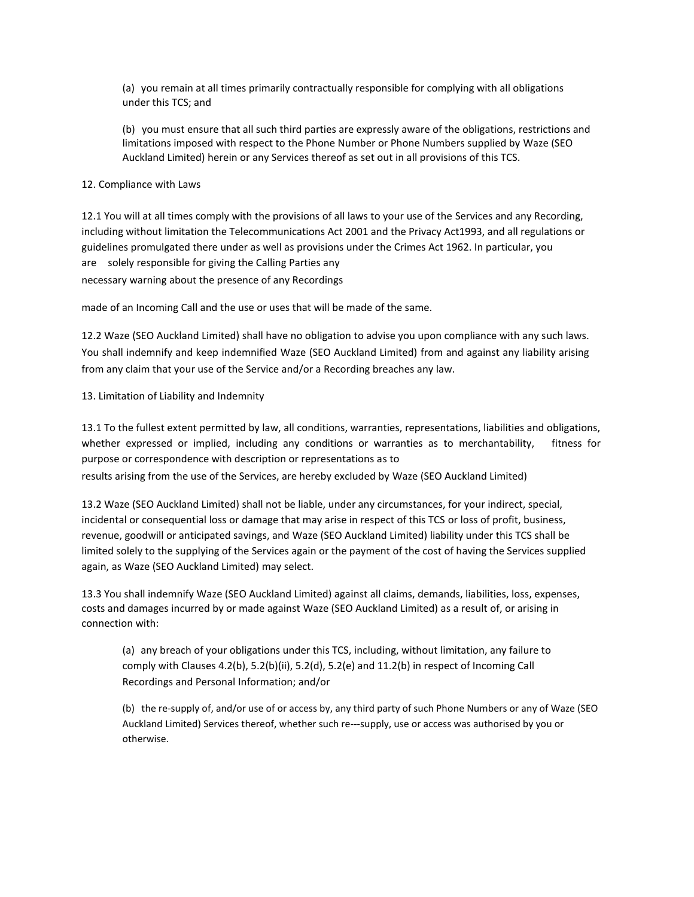(a) you remain at all times primarily contractually responsible for complying with all obligations under this TCS; and

(b) you must ensure that all such third parties are expressly aware of the obligations, restrictions and limitations imposed with respect to the Phone Number or Phone Numbers supplied by Waze (SEO Auckland Limited) herein or any Services thereof as set out in all provisions of this TCS.

# 12. Compliance with Laws

12.1 You will at all times comply with the provisions of all laws to your use of the Services and any Recording, including without limitation the Telecommunications Act 2001 and the Privacy Act1993, and all regulations or guidelines promulgated there under as well as provisions under the Crimes Act 1962. In particular, you are solely responsible for giving the Calling Parties any necessary warning about the presence of any Recordings

made of an Incoming Call and the use or uses that will be made of the same.

12.2 Waze (SEO Auckland Limited) shall have no obligation to advise you upon compliance with any such laws. You shall indemnify and keep indemnified Waze (SEO Auckland Limited) from and against any liability arising from any claim that your use of the Service and/or a Recording breaches any law.

# 13. Limitation of Liability and Indemnity

13.1 To the fullest extent permitted by law, all conditions, warranties, representations, liabilities and obligations, whether expressed or implied, including any conditions or warranties as to merchantability, fitness for purpose or correspondence with description or representations as to

results arising from the use of the Services, are hereby excluded by Waze (SEO Auckland Limited)

13.2 Waze (SEO Auckland Limited) shall not be liable, under any circumstances, for your indirect, special, incidental or consequential loss or damage that may arise in respect of this TCS or loss of profit, business, revenue, goodwill or anticipated savings, and Waze (SEO Auckland Limited) liability under this TCS shall be limited solely to the supplying of the Services again or the payment of the cost of having the Services supplied again, as Waze (SEO Auckland Limited) may select.

13.3 You shall indemnify Waze (SEO Auckland Limited) against all claims, demands, liabilities, loss, expenses, costs and damages incurred by or made against Waze (SEO Auckland Limited) as a result of, or arising in connection with:

(a) any breach of your obligations under this TCS, including, without limitation, any failure to comply with Clauses 4.2(b), 5.2(b)(ii), 5.2(d), 5.2(e) and 11.2(b) in respect of Incoming Call Recordings and Personal Information; and/or

(b) the re-supply of, and/or use of or access by, any third party of such Phone Numbers or any of Waze (SEO Auckland Limited) Services thereof, whether such re---supply, use or access was authorised by you or otherwise.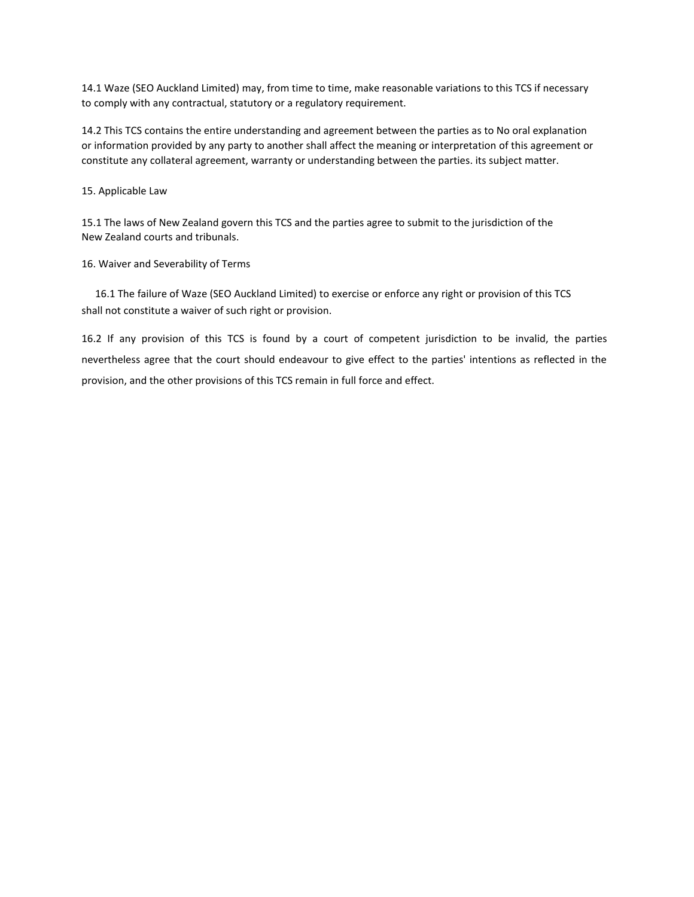14.1 Waze (SEO Auckland Limited) may, from time to time, make reasonable variations to this TCS if necessary to comply with any contractual, statutory or a regulatory requirement.

14.2 This TCS contains the entire understanding and agreement between the parties as to No oral explanation or information provided by any party to another shall affect the meaning or interpretation of this agreement or constitute any collateral agreement, warranty or understanding between the parties. its subject matter.

15. Applicable Law

15.1 The laws of New Zealand govern this TCS and the parties agree to submit to the jurisdiction of the New Zealand courts and tribunals.

16. Waiver and Severability of Terms

16.1 The failure of Waze (SEO Auckland Limited) to exercise or enforce any right or provision of this TCS shall not constitute a waiver of such right or provision.

16.2 If any provision of this TCS is found by a court of competent jurisdiction to be invalid, the parties nevertheless agree that the court should endeavour to give effect to the parties' intentions as reflected in the provision, and the other provisions of this TCS remain in full force and effect.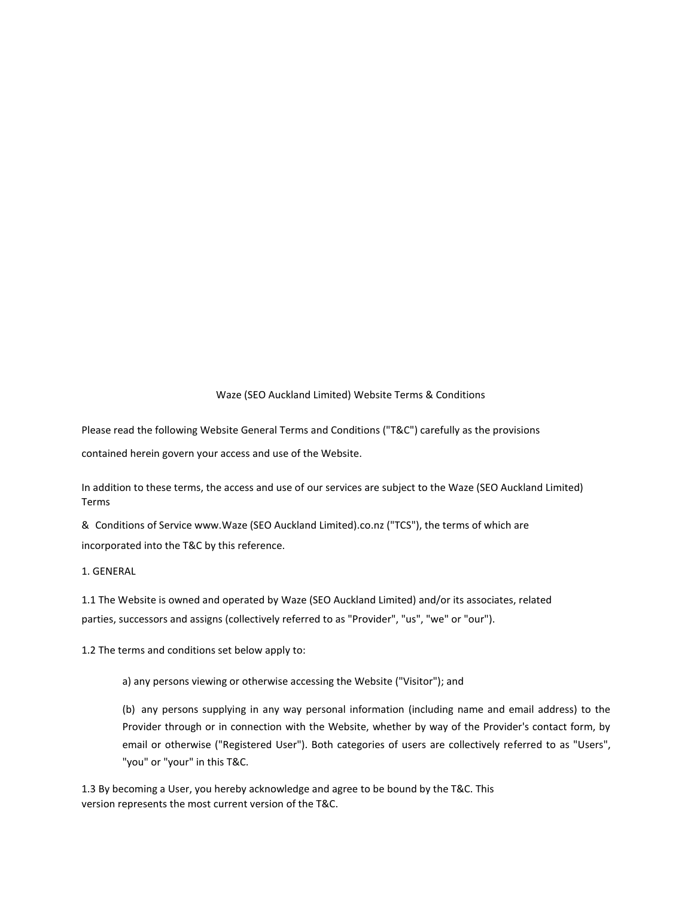# Waze (SEO Auckland Limited) Website Terms & Conditions

Please read the following Website General Terms and Conditions ("T&C") carefully as the provisions

contained herein govern your access and use of the Website.

In addition to these terms, the access and use of our services are subject to the Waze (SEO Auckland Limited) Terms

& Conditions of Service www.Waze (SEO Auckland Limited).co.nz ("TCS"), the terms of which are incorporated into the T&C by this reference.

1. GENERAL

1.1 The Website is owned and operated by Waze (SEO Auckland Limited) and/or its associates, related parties, successors and assigns (collectively referred to as "Provider", "us", "we" or "our").

1.2 The terms and conditions set below apply to:

a) any persons viewing or otherwise accessing the Website ("Visitor"); and

(b) any persons supplying in any way personal information (including name and email address) to the Provider through or in connection with the Website, whether by way of the Provider's contact form, by email or otherwise ("Registered User"). Both categories of users are collectively referred to as "Users", "you" or "your" in this T&C.

1.3 By becoming a User, you hereby acknowledge and agree to be bound by the T&C. This version represents the most current version of the T&C.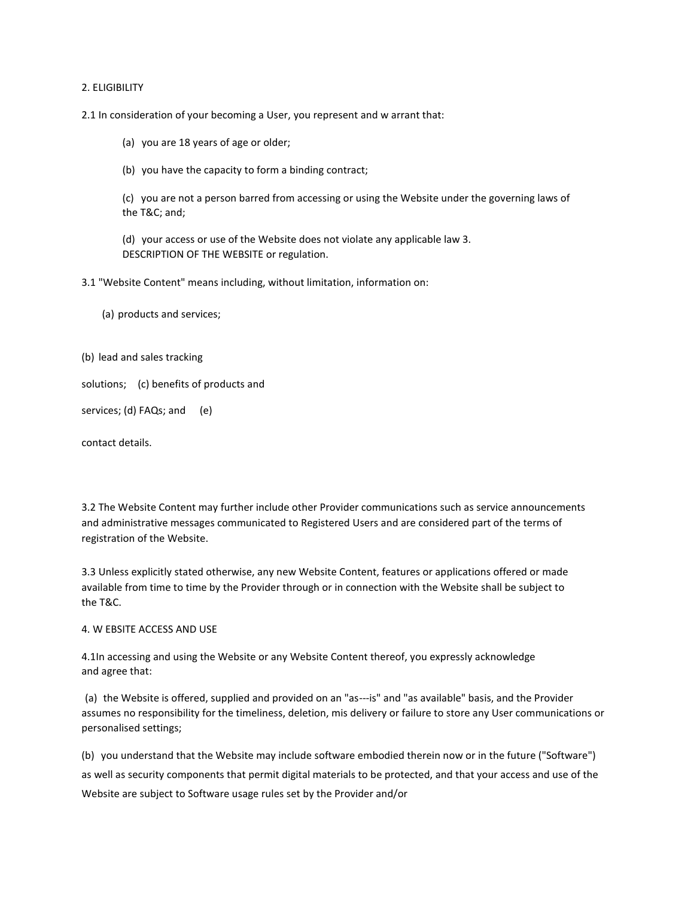### 2. ELIGIBILITY

2.1 In consideration of your becoming a User, you represent and w arrant that:

(a) you are 18 years of age or older;

(b) you have the capacity to form a binding contract;

(c) you are not a person barred from accessing or using the Website under the governing laws of the T&C; and;

(d) your access or use of the Website does not violate any applicable law 3. DESCRIPTION OF THE WEBSITE or regulation.

3.1 "Website Content" means including, without limitation, information on:

(a) products and services;

(b) lead and sales tracking

solutions; (c) benefits of products and

services; (d) FAQs; and (e)

contact details.

3.2 The Website Content may further include other Provider communications such as service announcements and administrative messages communicated to Registered Users and are considered part of the terms of registration of the Website.

3.3 Unless explicitly stated otherwise, any new Website Content, features or applications offered or made available from time to time by the Provider through or in connection with the Website shall be subject to the T&C.

### 4. W EBSITE ACCESS AND USE

4.1In accessing and using the Website or any Website Content thereof, you expressly acknowledge and agree that:

(a) the Website is offered, supplied and provided on an "as---is" and "as available" basis, and the Provider assumes no responsibility for the timeliness, deletion, mis delivery or failure to store any User communications or personalised settings;

(b) you understand that the Website may include software embodied therein now or in the future ("Software") as well as security components that permit digital materials to be protected, and that your access and use of the Website are subject to Software usage rules set by the Provider and/or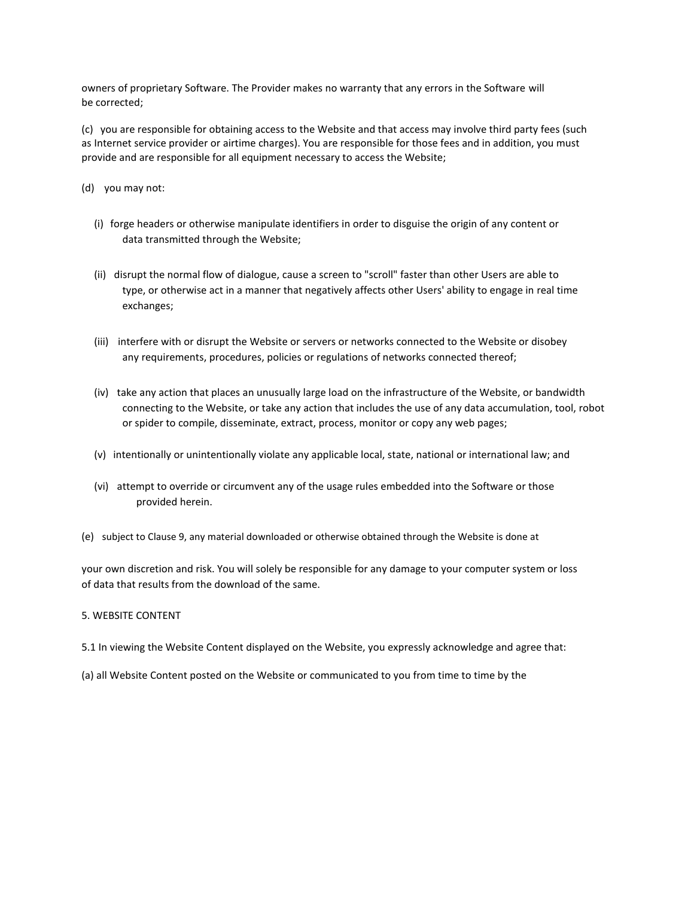owners of proprietary Software. The Provider makes no warranty that any errors in the Software will be corrected;

(c) you are responsible for obtaining access to the Website and that access may involve third party fees (such as Internet service provider or airtime charges). You are responsible for those fees and in addition, you must provide and are responsible for all equipment necessary to access the Website;

(d) you may not:

- (i) forge headers or otherwise manipulate identifiers in order to disguise the origin of any content or data transmitted through the Website;
- (ii) disrupt the normal flow of dialogue, cause a screen to "scroll" faster than other Users are able to type, or otherwise act in a manner that negatively affects other Users' ability to engage in real time exchanges;
- (iii) interfere with or disrupt the Website or servers or networks connected to the Website or disobey any requirements, procedures, policies or regulations of networks connected thereof;
- (iv) take any action that places an unusually large load on the infrastructure of the Website, or bandwidth connecting to the Website, or take any action that includes the use of any data accumulation, tool, robot or spider to compile, disseminate, extract, process, monitor or copy any web pages;
- (v) intentionally or unintentionally violate any applicable local, state, national or international law; and
- (vi) attempt to override or circumvent any of the usage rules embedded into the Software or those provided herein.
- (e) subject to Clause 9, any material downloaded or otherwise obtained through the Website is done at

your own discretion and risk. You will solely be responsible for any damage to your computer system or loss of data that results from the download of the same.

### 5. WEBSITE CONTENT

- 5.1 In viewing the Website Content displayed on the Website, you expressly acknowledge and agree that:
- (a) all Website Content posted on the Website or communicated to you from time to time by the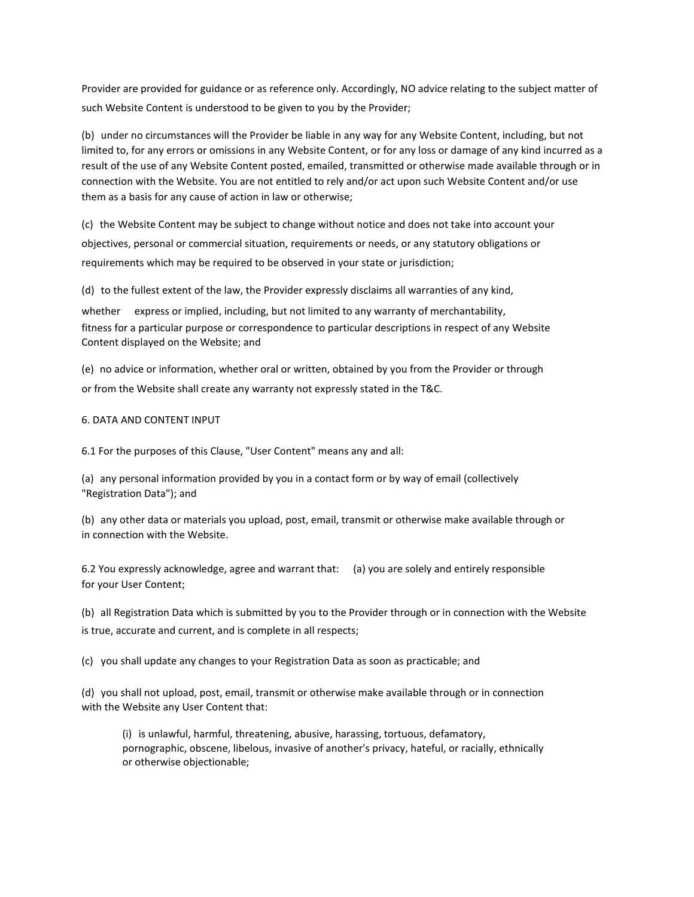Provider are provided for guidance or as reference only. Accordingly, NO advice relating to the subject matter of such Website Content is understood to be given to you by the Provider;

(b) under no circumstances will the Provider be liable in any way for any Website Content, including, but not limited to, for any errors or omissions in any Website Content, or for any loss or damage of any kind incurred as a result of the use of any Website Content posted, emailed, transmitted or otherwise made available through or in connection with the Website. You are not entitled to rely and/or act upon such Website Content and/or use them as a basis for any cause of action in law or otherwise;

(c) the Website Content may be subject to change without notice and does not take into account your objectives, personal or commercial situation, requirements or needs, or any statutory obligations or requirements which may be required to be observed in your state or jurisdiction;

(d) to the fullest extent of the law, the Provider expressly disclaims all warranties of any kind,

whether express or implied, including, but not limited to any warranty of merchantability, fitness for a particular purpose or correspondence to particular descriptions in respect of any Website Content displayed on the Website; and

(e) no advice or information, whether oral or written, obtained by you from the Provider or through or from the Website shall create any warranty not expressly stated in the T&C.

# 6. DATA AND CONTENT INPUT

6.1 For the purposes of this Clause, "User Content" means any and all:

(a) any personal information provided by you in a contact form or by way of email (collectively "Registration Data"); and

(b) any other data or materials you upload, post, email, transmit or otherwise make available through or in connection with the Website.

6.2 You expressly acknowledge, agree and warrant that: (a) you are solely and entirely responsible for your User Content;

(b) all Registration Data which is submitted by you to the Provider through or in connection with the Website is true, accurate and current, and is complete in all respects;

(c) you shall update any changes to your Registration Data as soon as practicable; and

(d) you shall not upload, post, email, transmit or otherwise make available through or in connection with the Website any User Content that:

(i) is unlawful, harmful, threatening, abusive, harassing, tortuous, defamatory, pornographic, obscene, libelous, invasive of another's privacy, hateful, or racially, ethnically or otherwise objectionable;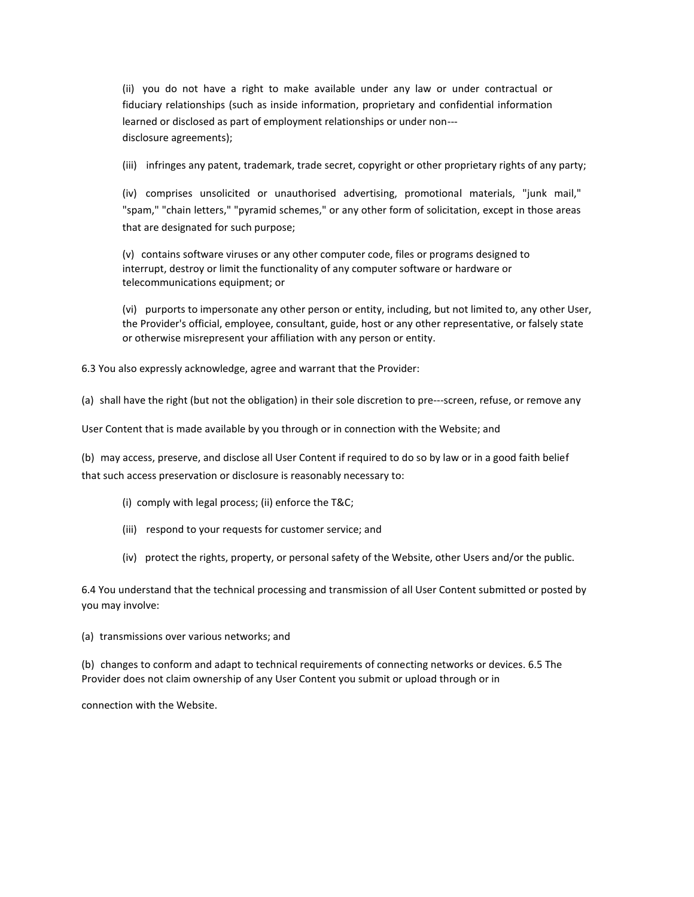(ii) you do not have a right to make available under any law or under contractual or fiduciary relationships (such as inside information, proprietary and confidential information learned or disclosed as part of employment relationships or under non-- disclosure agreements);

(iii) infringes any patent, trademark, trade secret, copyright or other proprietary rights of any party;

(iv) comprises unsolicited or unauthorised advertising, promotional materials, "junk mail," "spam," "chain letters," "pyramid schemes," or any other form of solicitation, except in those areas that are designated for such purpose;

(v) contains software viruses or any other computer code, files or programs designed to interrupt, destroy or limit the functionality of any computer software or hardware or telecommunications equipment; or

(vi) purports to impersonate any other person or entity, including, but not limited to, any other User, the Provider's official, employee, consultant, guide, host or any other representative, or falsely state or otherwise misrepresent your affiliation with any person or entity.

6.3 You also expressly acknowledge, agree and warrant that the Provider:

(a) shall have the right (but not the obligation) in their sole discretion to pre---screen, refuse, or remove any

User Content that is made available by you through or in connection with the Website; and

(b) may access, preserve, and disclose all User Content if required to do so by law or in a good faith belief that such access preservation or disclosure is reasonably necessary to:

- (i) comply with legal process; (ii) enforce the T&C;
- (iii) respond to your requests for customer service; and
- (iv) protect the rights, property, or personal safety of the Website, other Users and/or the public.

6.4 You understand that the technical processing and transmission of all User Content submitted or posted by you may involve:

(a) transmissions over various networks; and

(b) changes to conform and adapt to technical requirements of connecting networks or devices. 6.5 The Provider does not claim ownership of any User Content you submit or upload through or in

connection with the Website.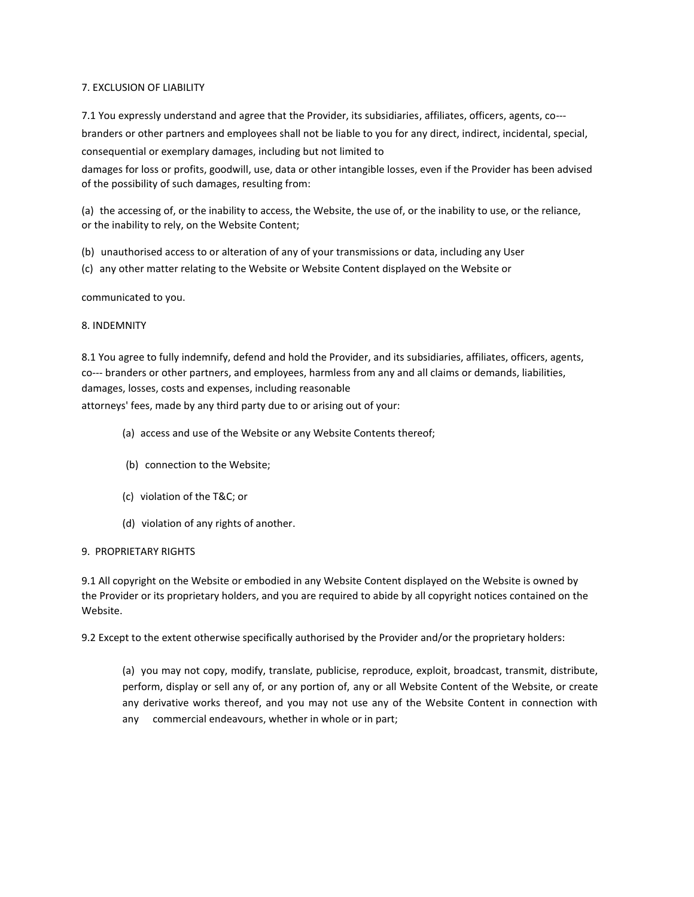# 7. EXCLUSION OF LIABILITY

7.1 You expressly understand and agree that the Provider, its subsidiaries, affiliates, officers, agents, co-- branders or other partners and employees shall not be liable to you for any direct, indirect, incidental, special, consequential or exemplary damages, including but not limited to

damages for loss or profits, goodwill, use, data or other intangible losses, even if the Provider has been advised of the possibility of such damages, resulting from:

(a) the accessing of, or the inability to access, the Website, the use of, or the inability to use, or the reliance, or the inability to rely, on the Website Content;

- (b) unauthorised access to or alteration of any of your transmissions or data, including any User
- (c) any other matter relating to the Website or Website Content displayed on the Website or

communicated to you.

# 8. INDEMNITY

8.1 You agree to fully indemnify, defend and hold the Provider, and its subsidiaries, affiliates, officers, agents, co--- branders or other partners, and employees, harmless from any and all claims or demands, liabilities, damages, losses, costs and expenses, including reasonable

attorneys' fees, made by any third party due to or arising out of your:

- (a) access and use of the Website or any Website Contents thereof;
- (b) connection to the Website;
- (c) violation of the T&C; or
- (d) violation of any rights of another.

# 9. PROPRIETARY RIGHTS

9.1 All copyright on the Website or embodied in any Website Content displayed on the Website is owned by the Provider or its proprietary holders, and you are required to abide by all copyright notices contained on the Website.

9.2 Except to the extent otherwise specifically authorised by the Provider and/or the proprietary holders:

(a) you may not copy, modify, translate, publicise, reproduce, exploit, broadcast, transmit, distribute, perform, display or sell any of, or any portion of, any or all Website Content of the Website, or create any derivative works thereof, and you may not use any of the Website Content in connection with any commercial endeavours, whether in whole or in part;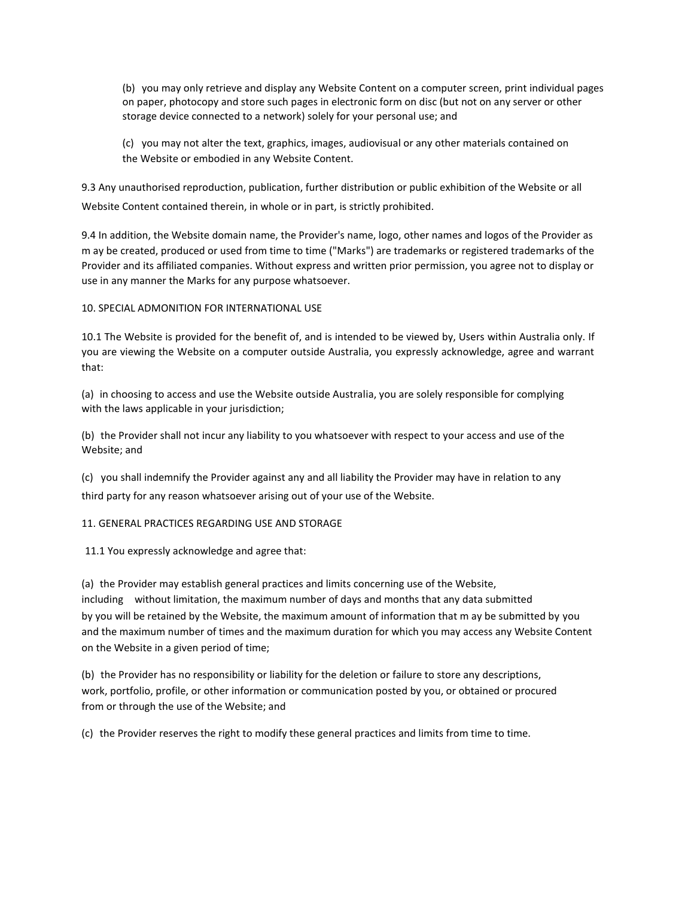(b) you may only retrieve and display any Website Content on a computer screen, print individual pages on paper, photocopy and store such pages in electronic form on disc (but not on any server or other storage device connected to a network) solely for your personal use; and

(c) you may not alter the text, graphics, images, audiovisual or any other materials contained on the Website or embodied in any Website Content.

9.3 Any unauthorised reproduction, publication, further distribution or public exhibition of the Website or all Website Content contained therein, in whole or in part, is strictly prohibited.

9.4 In addition, the Website domain name, the Provider's name, logo, other names and logos of the Provider as m ay be created, produced or used from time to time ("Marks") are trademarks or registered trademarks of the Provider and its affiliated companies. Without express and written prior permission, you agree not to display or use in any manner the Marks for any purpose whatsoever.

# 10. SPECIAL ADMONITION FOR INTERNATIONAL USE

10.1 The Website is provided for the benefit of, and is intended to be viewed by, Users within Australia only. If you are viewing the Website on a computer outside Australia, you expressly acknowledge, agree and warrant that:

(a) in choosing to access and use the Website outside Australia, you are solely responsible for complying with the laws applicable in your jurisdiction;

(b) the Provider shall not incur any liability to you whatsoever with respect to your access and use of the Website; and

(c) you shall indemnify the Provider against any and all liability the Provider may have in relation to any third party for any reason whatsoever arising out of your use of the Website.

# 11. GENERAL PRACTICES REGARDING USE AND STORAGE

11.1 You expressly acknowledge and agree that:

(a) the Provider may establish general practices and limits concerning use of the Website, including without limitation, the maximum number of days and months that any data submitted by you will be retained by the Website, the maximum amount of information that m ay be submitted by you and the maximum number of times and the maximum duration for which you may access any Website Content on the Website in a given period of time;

(b) the Provider has no responsibility or liability for the deletion or failure to store any descriptions, work, portfolio, profile, or other information or communication posted by you, or obtained or procured from or through the use of the Website; and

(c) the Provider reserves the right to modify these general practices and limits from time to time.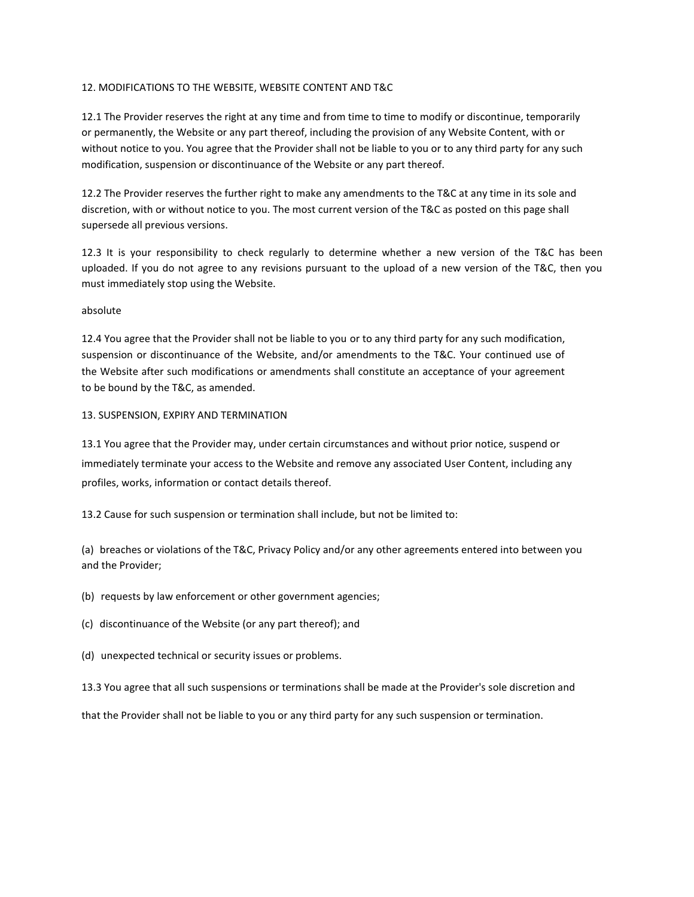### 12. MODIFICATIONS TO THE WEBSITE, WEBSITE CONTENT AND T&C

12.1 The Provider reserves the right at any time and from time to time to modify or discontinue, temporarily or permanently, the Website or any part thereof, including the provision of any Website Content, with or without notice to you. You agree that the Provider shall not be liable to you or to any third party for any such modification, suspension or discontinuance of the Website or any part thereof.

12.2 The Provider reserves the further right to make any amendments to the T&C at any time in its sole and discretion, with or without notice to you. The most current version of the T&C as posted on this page shall supersede all previous versions.

12.3 It is your responsibility to check regularly to determine whether a new version of the T&C has been uploaded. If you do not agree to any revisions pursuant to the upload of a new version of the T&C, then you must immediately stop using the Website.

#### absolute

12.4 You agree that the Provider shall not be liable to you or to any third party for any such modification, suspension or discontinuance of the Website, and/or amendments to the T&C. Your continued use of the Website after such modifications or amendments shall constitute an acceptance of your agreement to be bound by the T&C, as amended.

#### 13. SUSPENSION, EXPIRY AND TERMINATION

13.1 You agree that the Provider may, under certain circumstances and without prior notice, suspend or immediately terminate your access to the Website and remove any associated User Content, including any profiles, works, information or contact details thereof.

13.2 Cause for such suspension or termination shall include, but not be limited to:

(a) breaches or violations of the T&C, Privacy Policy and/or any other agreements entered into between you and the Provider;

- (b) requests by law enforcement or other government agencies;
- (c) discontinuance of the Website (or any part thereof); and
- (d) unexpected technical or security issues or problems.
- 13.3 You agree that all such suspensions or terminations shall be made at the Provider's sole discretion and

that the Provider shall not be liable to you or any third party for any such suspension or termination.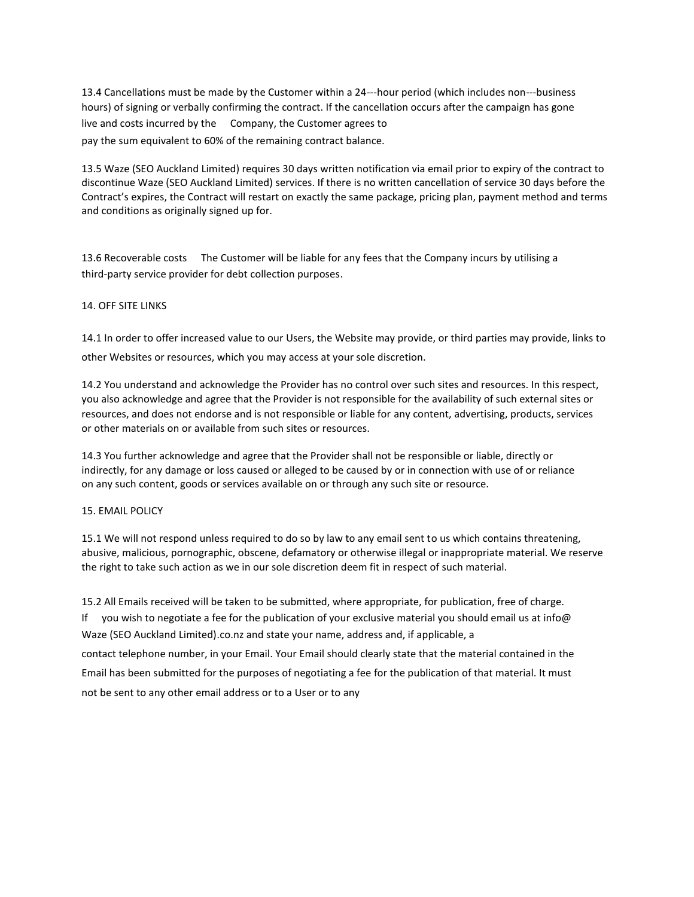13.4 Cancellations must be made by the Customer within a 24---hour period (which includes non---business hours) of signing or verbally confirming the contract. If the cancellation occurs after the campaign has gone live and costs incurred by the Company, the Customer agrees to pay the sum equivalent to 60% of the remaining contract balance.

13.5 Waze (SEO Auckland Limited) requires 30 days written notification via email prior to expiry of the contract to discontinue Waze (SEO Auckland Limited) services. If there is no written cancellation of service 30 days before the Contract's expires, the Contract will restart on exactly the same package, pricing plan, payment method and terms and conditions as originally signed up for.

13.6 Recoverable costs The Customer will be liable for any fees that the Company incurs by utilising a third-party service provider for debt collection purposes.

# 14. OFF SITE LINKS

14.1 In order to offer increased value to our Users, the Website may provide, or third parties may provide, links to other Websites or resources, which you may access at your sole discretion.

14.2 You understand and acknowledge the Provider has no control over such sites and resources. In this respect, you also acknowledge and agree that the Provider is not responsible for the availability of such external sites or resources, and does not endorse and is not responsible or liable for any content, advertising, products, services or other materials on or available from such sites or resources.

14.3 You further acknowledge and agree that the Provider shall not be responsible or liable, directly or indirectly, for any damage or loss caused or alleged to be caused by or in connection with use of or reliance on any such content, goods or services available on or through any such site or resource.

#### 15. EMAIL POLICY

15.1 We will not respond unless required to do so by law to any email sent to us which contains threatening, abusive, malicious, pornographic, obscene, defamatory or otherwise illegal or inappropriate material. We reserve the right to take such action as we in our sole discretion deem fit in respect of such material.

15.2 All Emails received will be taken to be submitted, where appropriate, for publication, free of charge. If you wish to negotiate a fee for the publication of your exclusive material you should email us at info@ Waze (SEO Auckland Limited).co.nz and state your name, address and, if applicable, a contact telephone number, in your Email. Your Email should clearly state that the material contained in the Email has been submitted for the purposes of negotiating a fee for the publication of that material. It must not be sent to any other email address or to a User or to any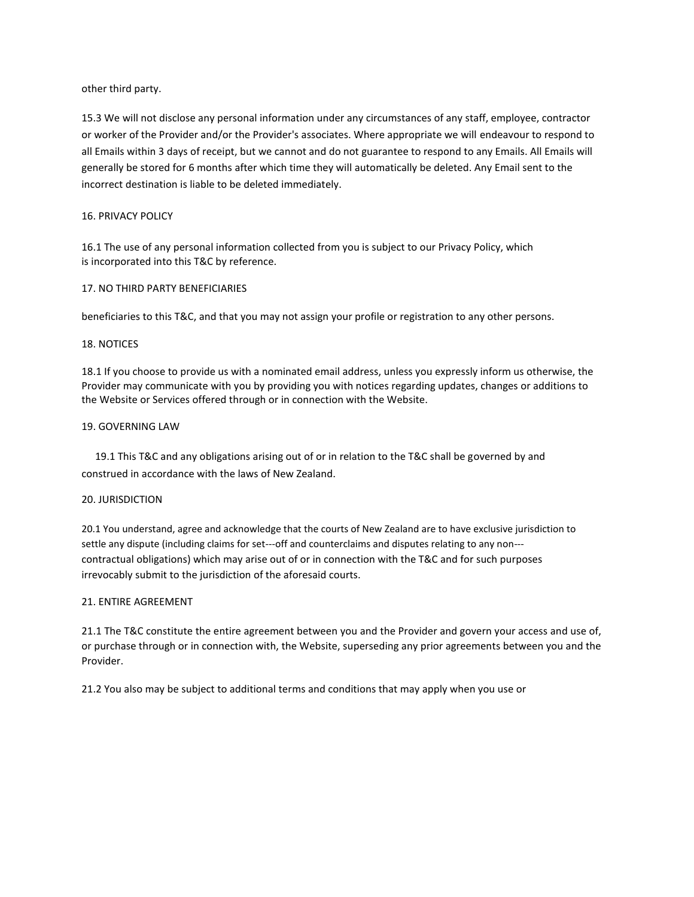other third party.

15.3 We will not disclose any personal information under any circumstances of any staff, employee, contractor or worker of the Provider and/or the Provider's associates. Where appropriate we will endeavour to respond to all Emails within 3 days of receipt, but we cannot and do not guarantee to respond to any Emails. All Emails will generally be stored for 6 months after which time they will automatically be deleted. Any Email sent to the incorrect destination is liable to be deleted immediately.

# 16. PRIVACY POLICY

16.1 The use of any personal information collected from you is subject to our Privacy Policy, which is incorporated into this T&C by reference.

#### 17. NO THIRD PARTY BENEFICIARIES

beneficiaries to this T&C, and that you may not assign your profile or registration to any other persons.

#### 18. NOTICES

18.1 If you choose to provide us with a nominated email address, unless you expressly inform us otherwise, the Provider may communicate with you by providing you with notices regarding updates, changes or additions to the Website or Services offered through or in connection with the Website.

# 19. GOVERNING LAW

19.1 This T&C and any obligations arising out of or in relation to the T&C shall be governed by and construed in accordance with the laws of New Zealand.

#### 20. JURISDICTION

20.1 You understand, agree and acknowledge that the courts of New Zealand are to have exclusive jurisdiction to settle any dispute (including claims for set---off and counterclaims and disputes relating to any non-- contractual obligations) which may arise out of or in connection with the T&C and for such purposes irrevocably submit to the jurisdiction of the aforesaid courts.

#### 21. ENTIRE AGREEMENT

21.1 The T&C constitute the entire agreement between you and the Provider and govern your access and use of, or purchase through or in connection with, the Website, superseding any prior agreements between you and the Provider.

21.2 You also may be subject to additional terms and conditions that may apply when you use or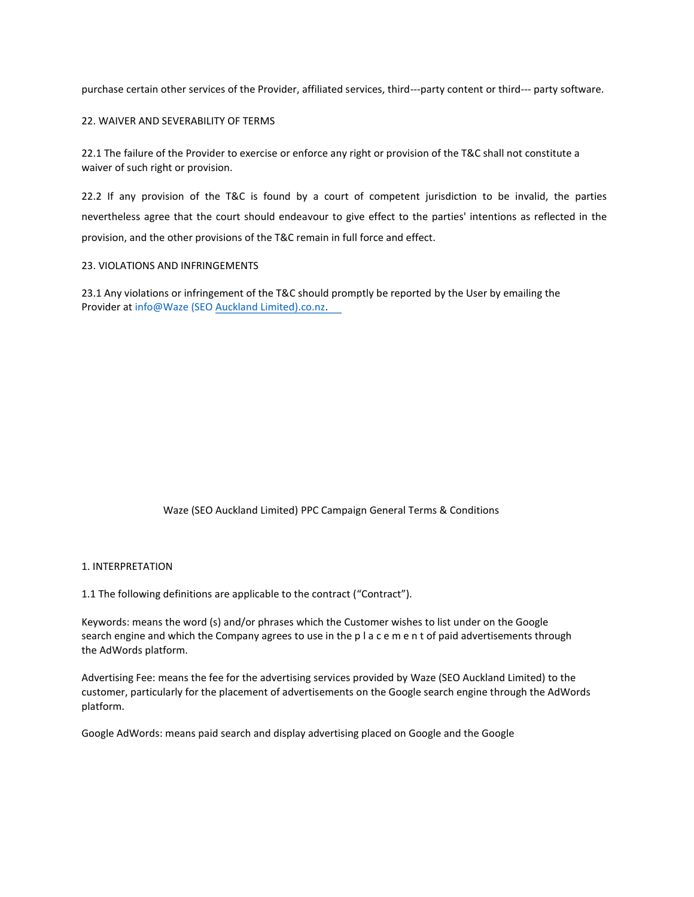purchase certain other services of the Provider, affiliated services, third---party content or third--- party software.

# 22. WAIVER AND SEVERABILITY OF TERMS

22.1 The failure of the Provider to exercise or enforce any right or provision of the T&C shall not constitute a waiver of such right or provision.

22.2 If any provision of the T&C is found by a court of competent jurisdiction to be invalid, the parties nevertheless agree that the court should endeavour to give effect to the parties' intentions as reflected in the provision, and the other provisions of the T&C remain in full force and effect.

#### 23. VIOLATIONS AND INFRINGEMENTS

23.1 Any violations or infringement of the T&C should promptly be reported by the User by emailing the Provider at info@Waze (SEO Auckland Limited).co.nz.

# Waze (SEO Auckland Limited) PPC Campaign General Terms & Conditions

#### 1. INTERPRETATION

1.1 The following definitions are applicable to the contract ("Contract").

Keywords: means the word (s) and/or phrases which the Customer wishes to list under on the Google search engine and which the Company agrees to use in the p l a c e m e n t of paid advertisements through the AdWords platform.

Advertising Fee: means the fee for the advertising services provided by Waze (SEO Auckland Limited) to the customer, particularly for the placement of advertisements on the Google search engine through the AdWords platform.

Google AdWords: means paid search and display advertising placed on Google and the Google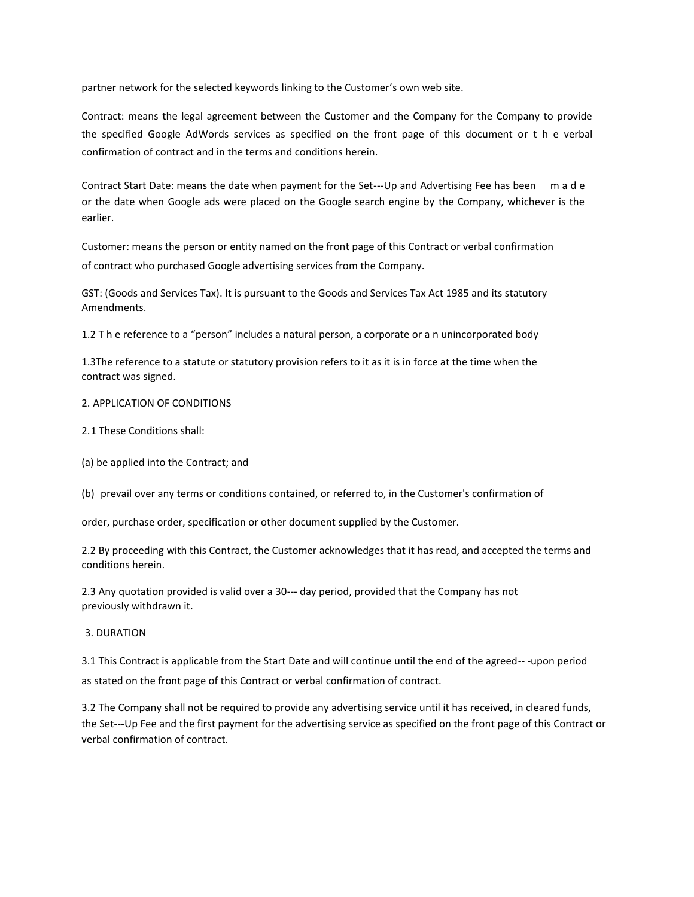partner network for the selected keywords linking to the Customer's own web site.

Contract: means the legal agreement between the Customer and the Company for the Company to provide the specified Google AdWords services as specified on the front page of this document or t h e verbal confirmation of contract and in the terms and conditions herein.

Contract Start Date: means the date when payment for the Set---Up and Advertising Fee has been m a d e or the date when Google ads were placed on the Google search engine by the Company, whichever is the earlier.

Customer: means the person or entity named on the front page of this Contract or verbal confirmation of contract who purchased Google advertising services from the Company.

GST: (Goods and Services Tax). It is pursuant to the Goods and Services Tax Act 1985 and its statutory Amendments.

1.2 T h e reference to a "person" includes a natural person, a corporate or a n unincorporated body

1.3The reference to a statute or statutory provision refers to it as it is in force at the time when the contract was signed.

# 2. APPLICATION OF CONDITIONS

- 2.1 These Conditions shall:
- (a) be applied into the Contract; and

(b) prevail over any terms or conditions contained, or referred to, in the Customer's confirmation of

order, purchase order, specification or other document supplied by the Customer.

2.2 By proceeding with this Contract, the Customer acknowledges that it has read, and accepted the terms and conditions herein.

2.3 Any quotation provided is valid over a 30--- day period, provided that the Company has not previously withdrawn it.

#### 3. DURATION

3.1 This Contract is applicable from the Start Date and will continue until the end of the agreed-- -upon period as stated on the front page of this Contract or verbal confirmation of contract.

3.2 The Company shall not be required to provide any advertising service until it has received, in cleared funds, the Set---Up Fee and the first payment for the advertising service as specified on the front page of this Contract or verbal confirmation of contract.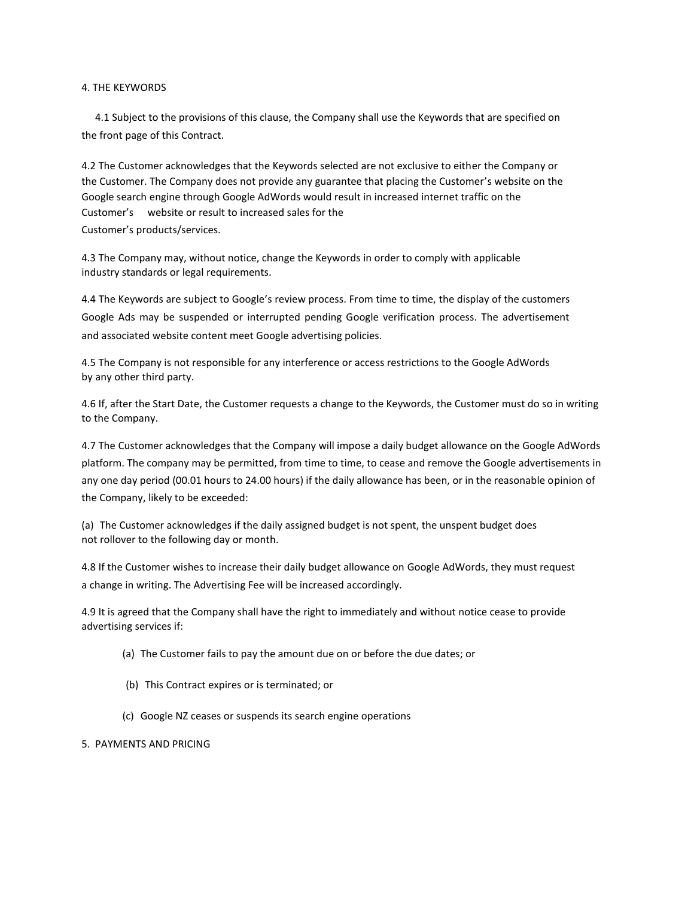# 4. THE KEYWORDS

4.1 Subject to the provisions of this clause, the Company shall use the Keywords that are specified on the front page of this Contract.

4.2 The Customer acknowledges that the Keywords selected are not exclusive to either the Company or the Customer. The Company does not provide any guarantee that placing the Customer's website on the Google search engine through Google AdWords would result in increased internet traffic on the Customer's website or result to increased sales for the Customer's products/services.

4.3 The Company may, without notice, change the Keywords in order to comply with applicable industry standards or legal requirements.

4.4 The Keywords are subject to Google's review process. From time to time, the display of the customers Google Ads may be suspended or interrupted pending Google verification process. The advertisement and associated website content meet Google advertising policies.

4.5 The Company is not responsible for any interference or access restrictions to the Google AdWords by any other third party.

4.6 If, after the Start Date, the Customer requests a change to the Keywords, the Customer must do so in writing to the Company.

4.7 The Customer acknowledges that the Company will impose a daily budget allowance on the Google AdWords platform. The company may be permitted, from time to time, to cease and remove the Google advertisements in any one day period (00.01 hours to 24.00 hours) if the daily allowance has been, or in the reasonable opinion of the Company, likely to be exceeded:

(a) The Customer acknowledges if the daily assigned budget is not spent, the unspent budget does not rollover to the following day or month.

4.8 If the Customer wishes to increase their daily budget allowance on Google AdWords, they must request a change in writing. The Advertising Fee will be increased accordingly.

4.9 It is agreed that the Company shall have the right to immediately and without notice cease to provide advertising services if:

- (a) The Customer fails to pay the amount due on or before the due dates; or
- (b) This Contract expires or is terminated; or
- (c) Google NZ ceases or suspends its search engine operations

#### 5. PAYMENTS AND PRICING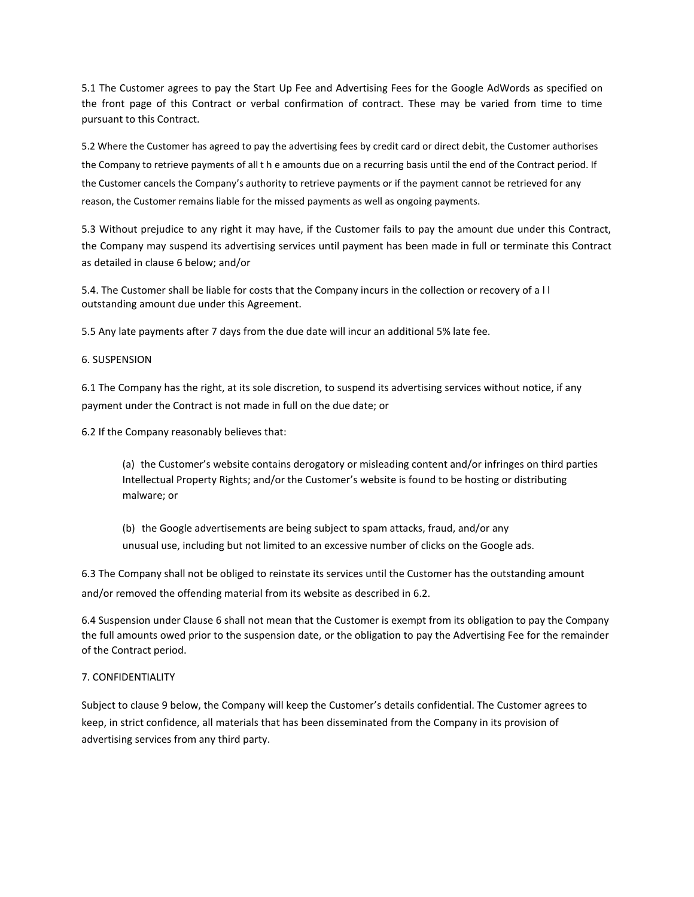5.1 The Customer agrees to pay the Start Up Fee and Advertising Fees for the Google AdWords as specified on the front page of this Contract or verbal confirmation of contract. These may be varied from time to time pursuant to this Contract.

5.2 Where the Customer has agreed to pay the advertising fees by credit card or direct debit, the Customer authorises the Company to retrieve payments of all t h e amounts due on a recurring basis until the end of the Contract period. If the Customer cancels the Company's authority to retrieve payments or if the payment cannot be retrieved for any reason, the Customer remains liable for the missed payments as well as ongoing payments.

5.3 Without prejudice to any right it may have, if the Customer fails to pay the amount due under this Contract, the Company may suspend its advertising services until payment has been made in full or terminate this Contract as detailed in clause 6 below; and/or

5.4. The Customer shall be liable for costs that the Company incurs in the collection or recovery of a l l outstanding amount due under this Agreement.

5.5 Any late payments after 7 days from the due date will incur an additional 5% late fee.

# 6. SUSPENSION

6.1 The Company has the right, at its sole discretion, to suspend its advertising services without notice, if any payment under the Contract is not made in full on the due date; or

6.2 If the Company reasonably believes that:

(a) the Customer's website contains derogatory or misleading content and/or infringes on third parties Intellectual Property Rights; and/or the Customer's website is found to be hosting or distributing malware; or

(b) the Google advertisements are being subject to spam attacks, fraud, and/or any unusual use, including but not limited to an excessive number of clicks on the Google ads.

6.3 The Company shall not be obliged to reinstate its services until the Customer has the outstanding amount and/or removed the offending material from its website as described in 6.2.

6.4 Suspension under Clause 6 shall not mean that the Customer is exempt from its obligation to pay the Company the full amounts owed prior to the suspension date, or the obligation to pay the Advertising Fee for the remainder of the Contract period.

# 7. CONFIDENTIALITY

Subject to clause 9 below, the Company will keep the Customer's details confidential. The Customer agrees to keep, in strict confidence, all materials that has been disseminated from the Company in its provision of advertising services from any third party.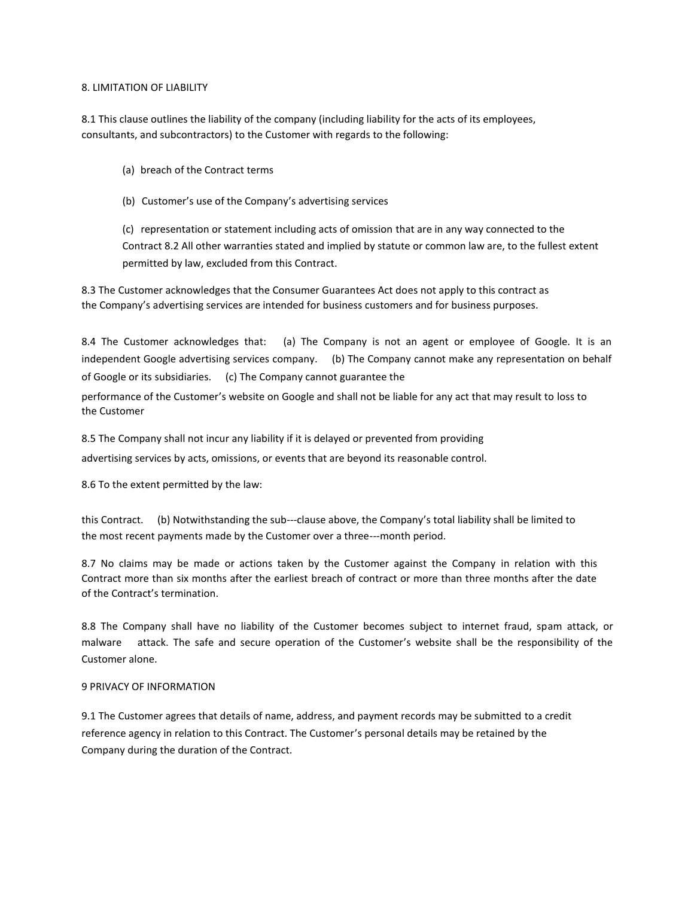# 8. LIMITATION OF LIABILITY

8.1 This clause outlines the liability of the company (including liability for the acts of its employees, consultants, and subcontractors) to the Customer with regards to the following:

- (a) breach of the Contract terms
- (b) Customer's use of the Company's advertising services

(c) representation or statement including acts of omission that are in any way connected to the Contract 8.2 All other warranties stated and implied by statute or common law are, to the fullest extent permitted by law, excluded from this Contract.

8.3 The Customer acknowledges that the Consumer Guarantees Act does not apply to this contract as the Company's advertising services are intended for business customers and for business purposes.

8.4 The Customer acknowledges that: (a) The Company is not an agent or employee of Google. It is an independent Google advertising services company. (b) The Company cannot make any representation on behalf of Google or its subsidiaries. (c) The Company cannot guarantee the

performance of the Customer's website on Google and shall not be liable for any act that may result to loss to the Customer

8.5 The Company shall not incur any liability if it is delayed or prevented from providing

advertising services by acts, omissions, or events that are beyond its reasonable control.

8.6 To the extent permitted by the law:

this Contract. (b) Notwithstanding the sub---clause above, the Company's total liability shall be limited to the most recent payments made by the Customer over a three---month period.

8.7 No claims may be made or actions taken by the Customer against the Company in relation with this Contract more than six months after the earliest breach of contract or more than three months after the date of the Contract's termination.

8.8 The Company shall have no liability of the Customer becomes subject to internet fraud, spam attack, or malware attack. The safe and secure operation of the Customer's website shall be the responsibility of the Customer alone.

### 9 PRIVACY OF INFORMATION

9.1 The Customer agrees that details of name, address, and payment records may be submitted to a credit reference agency in relation to this Contract. The Customer's personal details may be retained by the Company during the duration of the Contract.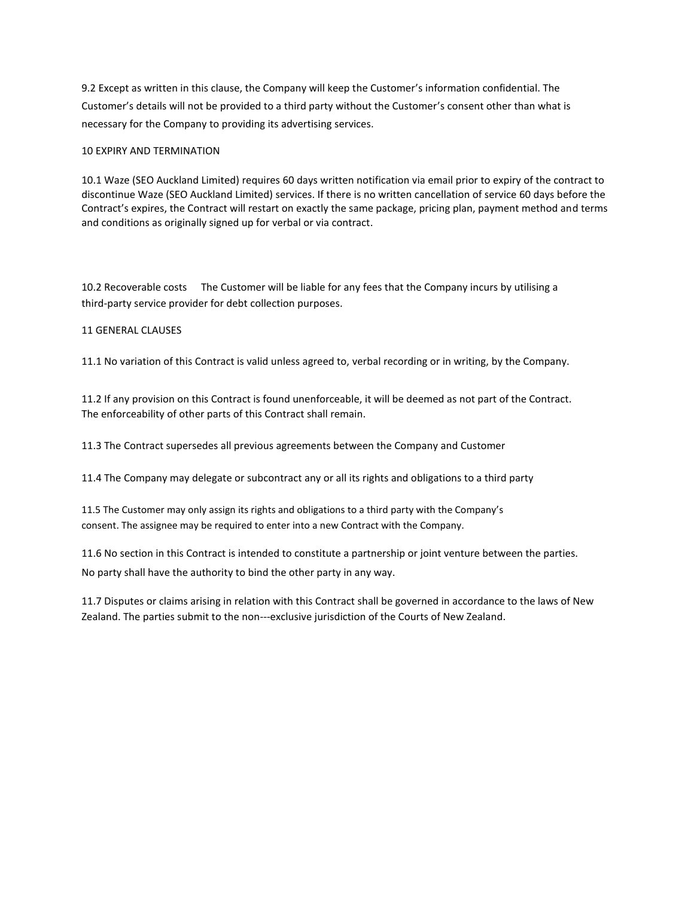9.2 Except as written in this clause, the Company will keep the Customer's information confidential. The Customer's details will not be provided to a third party without the Customer's consent other than what is necessary for the Company to providing its advertising services.

# 10 EXPIRY AND TERMINATION

10.1 Waze (SEO Auckland Limited) requires 60 days written notification via email prior to expiry of the contract to discontinue Waze (SEO Auckland Limited) services. If there is no written cancellation of service 60 days before the Contract's expires, the Contract will restart on exactly the same package, pricing plan, payment method and terms and conditions as originally signed up for verbal or via contract.

10.2 Recoverable costs The Customer will be liable for any fees that the Company incurs by utilising a third-party service provider for debt collection purposes.

# 11 GENERAL CLAUSES

11.1 No variation of this Contract is valid unless agreed to, verbal recording or in writing, by the Company.

11.2 If any provision on this Contract is found unenforceable, it will be deemed as not part of the Contract. The enforceability of other parts of this Contract shall remain.

11.3 The Contract supersedes all previous agreements between the Company and Customer

11.4 The Company may delegate or subcontract any or all its rights and obligations to a third party

11.5 The Customer may only assign its rights and obligations to a third party with the Company's consent. The assignee may be required to enter into a new Contract with the Company.

11.6 No section in this Contract is intended to constitute a partnership or joint venture between the parties. No party shall have the authority to bind the other party in any way.

11.7 Disputes or claims arising in relation with this Contract shall be governed in accordance to the laws of New Zealand. The parties submit to the non---exclusive jurisdiction of the Courts of New Zealand.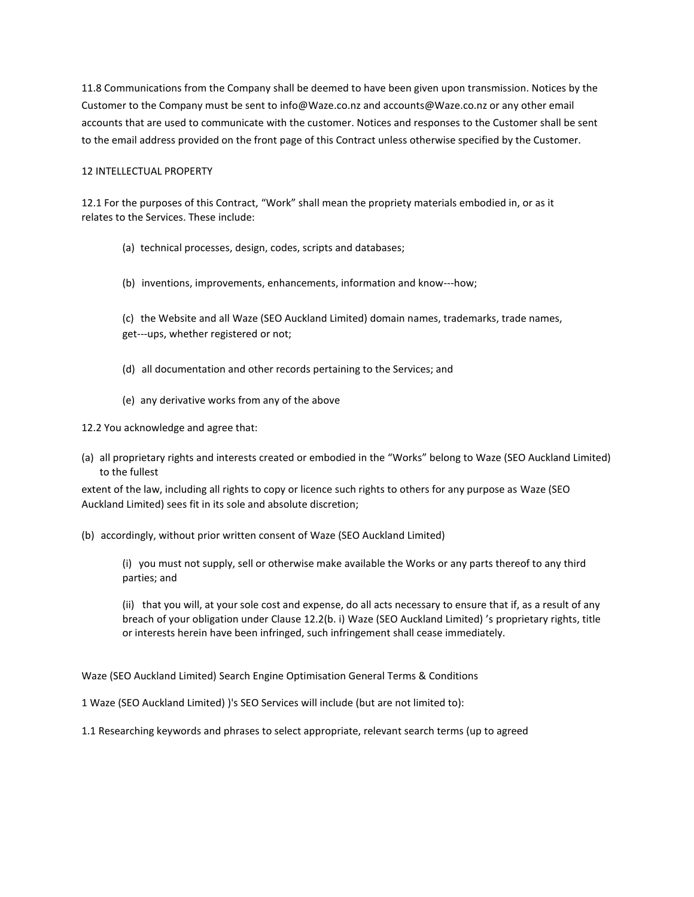11.8 Communications from the Company shall be deemed to have been given upon transmission. Notices by the Customer to the Company must be sent to info@Waze.co.nz and accounts@Waze.co.nz or any other email accounts that are used to communicate with the customer. Notices and responses to the Customer shall be sent to the email address provided on the front page of this Contract unless otherwise specified by the Customer.

# 12 INTELLECTUAL PROPERTY

12.1 For the purposes of this Contract, "Work" shall mean the propriety materials embodied in, or as it relates to the Services. These include:

- (a) technical processes, design, codes, scripts and databases;
- (b) inventions, improvements, enhancements, information and know---how;
- (c) the Website and all Waze (SEO Auckland Limited) domain names, trademarks, trade names, get---ups, whether registered or not;
- (d) all documentation and other records pertaining to the Services; and
- (e) any derivative works from any of the above

12.2 You acknowledge and agree that:

(a) all proprietary rights and interests created or embodied in the "Works" belong to Waze (SEO Auckland Limited) to the fullest

extent of the law, including all rights to copy or licence such rights to others for any purpose as Waze (SEO Auckland Limited) sees fit in its sole and absolute discretion;

(b) accordingly, without prior written consent of Waze (SEO Auckland Limited)

(i) you must not supply, sell or otherwise make available the Works or any parts thereof to any third parties; and

(ii) that you will, at your sole cost and expense, do all acts necessary to ensure that if, as a result of any breach of your obligation under Clause 12.2(b. i) Waze (SEO Auckland Limited) 's proprietary rights, title or interests herein have been infringed, such infringement shall cease immediately.

Waze (SEO Auckland Limited) Search Engine Optimisation General Terms & Conditions

1 Waze (SEO Auckland Limited) )'s SEO Services will include (but are not limited to):

1.1 Researching keywords and phrases to select appropriate, relevant search terms (up to agreed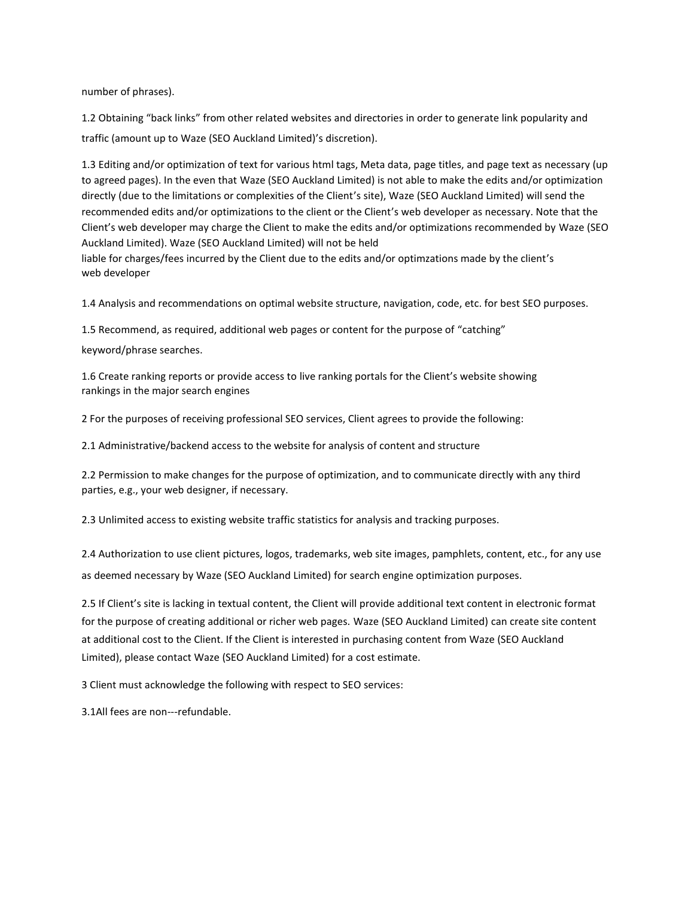number of phrases).

1.2 Obtaining "back links" from other related websites and directories in order to generate link popularity and traffic (amount up to Waze (SEO Auckland Limited)'s discretion).

1.3 Editing and/or optimization of text for various html tags, Meta data, page titles, and page text as necessary (up to agreed pages). In the even that Waze (SEO Auckland Limited) is not able to make the edits and/or optimization directly (due to the limitations or complexities of the Client's site), Waze (SEO Auckland Limited) will send the recommended edits and/or optimizations to the client or the Client's web developer as necessary. Note that the Client's web developer may charge the Client to make the edits and/or optimizations recommended by Waze (SEO Auckland Limited). Waze (SEO Auckland Limited) will not be held

liable for charges/fees incurred by the Client due to the edits and/or optimzations made by the client's web developer

1.4 Analysis and recommendations on optimal website structure, navigation, code, etc. for best SEO purposes.

1.5 Recommend, as required, additional web pages or content for the purpose of "catching"

keyword/phrase searches.

1.6 Create ranking reports or provide access to live ranking portals for the Client's website showing rankings in the major search engines

2 For the purposes of receiving professional SEO services, Client agrees to provide the following:

2.1 Administrative/backend access to the website for analysis of content and structure

2.2 Permission to make changes for the purpose of optimization, and to communicate directly with any third parties, e.g., your web designer, if necessary.

2.3 Unlimited access to existing website traffic statistics for analysis and tracking purposes.

2.4 Authorization to use client pictures, logos, trademarks, web site images, pamphlets, content, etc., for any use as deemed necessary by Waze (SEO Auckland Limited) for search engine optimization purposes.

2.5 If Client's site is lacking in textual content, the Client will provide additional text content in electronic format for the purpose of creating additional or richer web pages. Waze (SEO Auckland Limited) can create site content at additional cost to the Client. If the Client is interested in purchasing content from Waze (SEO Auckland Limited), please contact Waze (SEO Auckland Limited) for a cost estimate.

3 Client must acknowledge the following with respect to SEO services:

3.1All fees are non---refundable.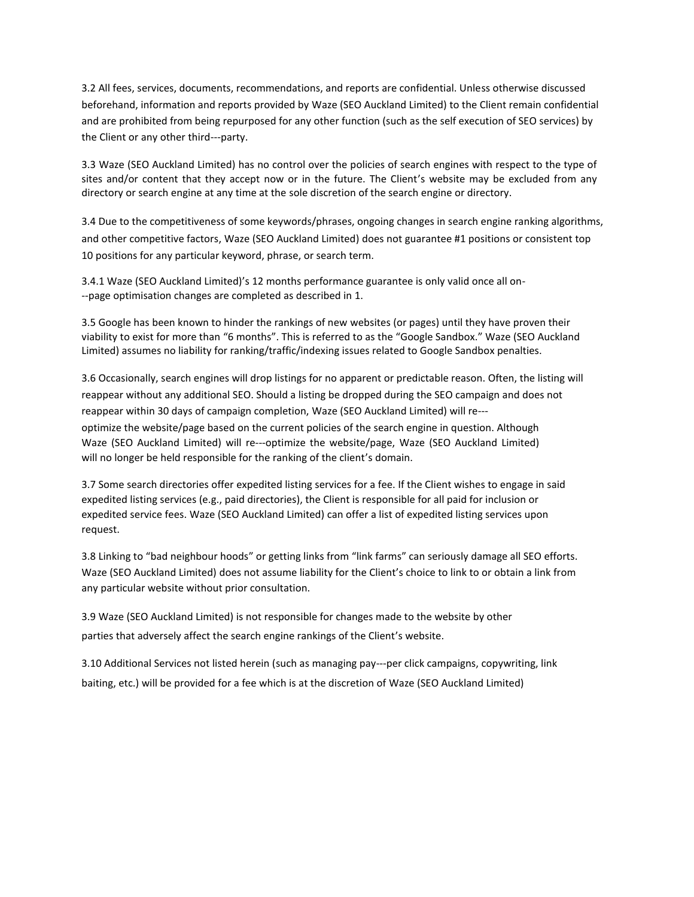3.2 All fees, services, documents, recommendations, and reports are confidential. Unless otherwise discussed beforehand, information and reports provided by Waze (SEO Auckland Limited) to the Client remain confidential and are prohibited from being repurposed for any other function (such as the self execution of SEO services) by the Client or any other third---party.

3.3 Waze (SEO Auckland Limited) has no control over the policies of search engines with respect to the type of sites and/or content that they accept now or in the future. The Client's website may be excluded from any directory or search engine at any time at the sole discretion of the search engine or directory.

3.4 Due to the competitiveness of some keywords/phrases, ongoing changes in search engine ranking algorithms, and other competitive factors, Waze (SEO Auckland Limited) does not guarantee #1 positions or consistent top 10 positions for any particular keyword, phrase, or search term.

3.4.1 Waze (SEO Auckland Limited)'s 12 months performance guarantee is only valid once all on- --page optimisation changes are completed as described in 1.

3.5 Google has been known to hinder the rankings of new websites (or pages) until they have proven their viability to exist for more than "6 months". This is referred to as the "Google Sandbox." Waze (SEO Auckland Limited) assumes no liability for ranking/traffic/indexing issues related to Google Sandbox penalties.

3.6 Occasionally, search engines will drop listings for no apparent or predictable reason. Often, the listing will reappear without any additional SEO. Should a listing be dropped during the SEO campaign and does not reappear within 30 days of campaign completion, Waze (SEO Auckland Limited) will re-- optimize the website/page based on the current policies of the search engine in question. Although Waze (SEO Auckland Limited) will re---optimize the website/page, Waze (SEO Auckland Limited) will no longer be held responsible for the ranking of the client's domain.

3.7 Some search directories offer expedited listing services for a fee. If the Client wishes to engage in said expedited listing services (e.g., paid directories), the Client is responsible for all paid for inclusion or expedited service fees. Waze (SEO Auckland Limited) can offer a list of expedited listing services upon request.

3.8 Linking to "bad neighbour hoods" or getting links from "link farms" can seriously damage all SEO efforts. Waze (SEO Auckland Limited) does not assume liability for the Client's choice to link to or obtain a link from any particular website without prior consultation.

3.9 Waze (SEO Auckland Limited) is not responsible for changes made to the website by other parties that adversely affect the search engine rankings of the Client's website.

3.10 Additional Services not listed herein (such as managing pay---per click campaigns, copywriting, link baiting, etc.) will be provided for a fee which is at the discretion of Waze (SEO Auckland Limited)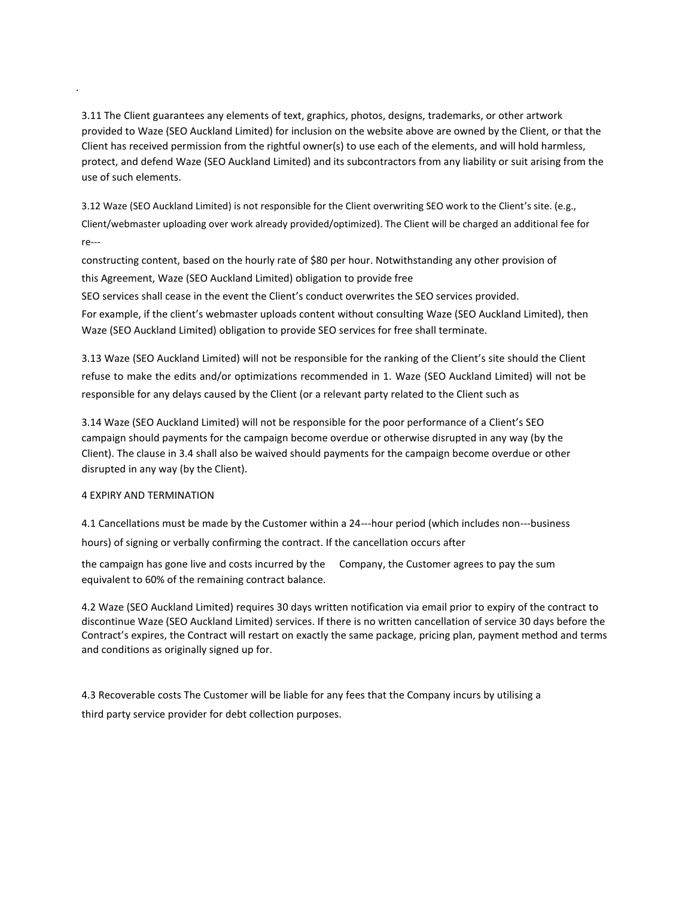3.11 The Client guarantees any elements of text, graphics, photos, designs, trademarks, or other artwork provided to Waze (SEO Auckland Limited) for inclusion on the website above are owned by the Client, or that the Client has received permission from the rightful owner(s) to use each of the elements, and will hold harmless, protect, and defend Waze (SEO Auckland Limited) and its subcontractors from any liability or suit arising from the use of such elements.

3.12 Waze (SEO Auckland Limited) is not responsible for the Client overwriting SEO work to the Client's site. (e.g., Client/webmaster uploading over work already provided/optimized). The Client will be charged an additional fee for re---

constructing content, based on the hourly rate of \$80 per hour. Notwithstanding any other provision of this Agreement, Waze (SEO Auckland Limited) obligation to provide free SEO services shall cease in the event the Client's conduct overwrites the SEO services provided. For example, if the client's webmaster uploads content without consulting Waze (SEO Auckland Limited), then Waze (SEO Auckland Limited) obligation to provide SEO services for free shall terminate.

3.13 Waze (SEO Auckland Limited) will not be responsible for the ranking of the Client's site should the Client refuse to make the edits and/or optimizations recommended in 1. Waze (SEO Auckland Limited) will not be responsible for any delays caused by the Client (or a relevant party related to the Client such as

3.14 Waze (SEO Auckland Limited) will not be responsible for the poor performance of a Client's SEO campaign should payments for the campaign become overdue or otherwise disrupted in any way (by the Client). The clause in 3.4 shall also be waived should payments for the campaign become overdue or other disrupted in any way (by the Client).

# 4 EXPIRY AND TERMINATION

.

4.1 Cancellations must be made by the Customer within a 24---hour period (which includes non---business hours) of signing or verbally confirming the contract. If the cancellation occurs after

the campaign has gone live and costs incurred by the Company, the Customer agrees to pay the sum equivalent to 60% of the remaining contract balance.

4.2 Waze (SEO Auckland Limited) requires 30 days written notification via email prior to expiry of the contract to discontinue Waze (SEO Auckland Limited) services. If there is no written cancellation of service 30 days before the Contract's expires, the Contract will restart on exactly the same package, pricing plan, payment method and terms and conditions as originally signed up for.

4.3 Recoverable costs The Customer will be liable for any fees that the Company incurs by utilising a third party service provider for debt collection purposes.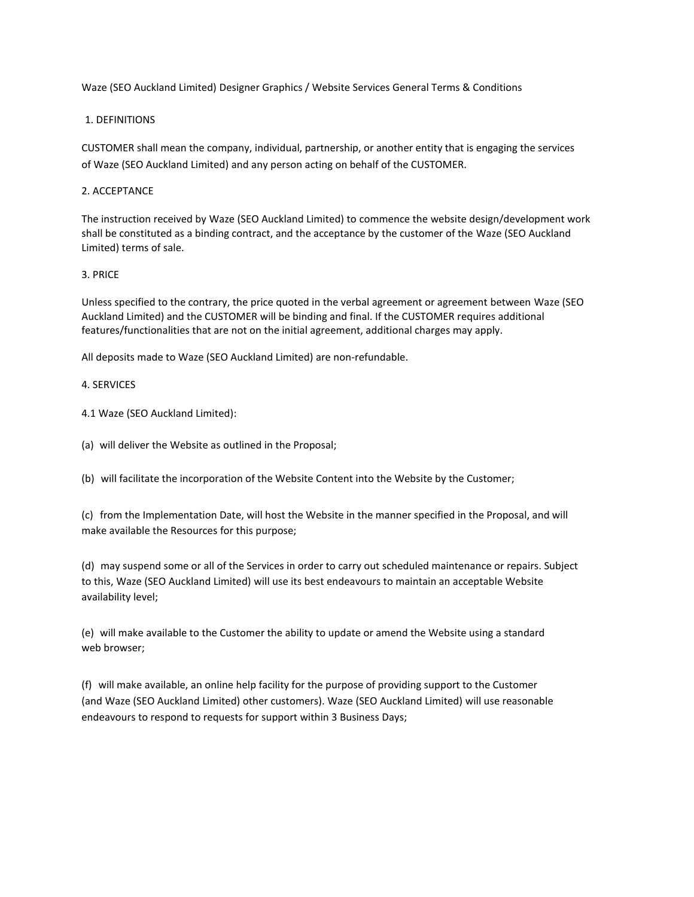Waze (SEO Auckland Limited) Designer Graphics / Website Services General Terms & Conditions

# 1. DEFINITIONS

CUSTOMER shall mean the company, individual, partnership, or another entity that is engaging the services of Waze (SEO Auckland Limited) and any person acting on behalf of the CUSTOMER.

# 2. ACCEPTANCE

The instruction received by Waze (SEO Auckland Limited) to commence the website design/development work shall be constituted as a binding contract, and the acceptance by the customer of the Waze (SEO Auckland Limited) terms of sale.

# 3. PRICE

Unless specified to the contrary, the price quoted in the verbal agreement or agreement between Waze (SEO Auckland Limited) and the CUSTOMER will be binding and final. If the CUSTOMER requires additional features/functionalities that are not on the initial agreement, additional charges may apply.

All deposits made to Waze (SEO Auckland Limited) are non-refundable.

# 4. SERVICES

4.1 Waze (SEO Auckland Limited):

(a) will deliver the Website as outlined in the Proposal;

(b) will facilitate the incorporation of the Website Content into the Website by the Customer;

(c) from the Implementation Date, will host the Website in the manner specified in the Proposal, and will make available the Resources for this purpose;

(d) may suspend some or all of the Services in order to carry out scheduled maintenance or repairs. Subject to this, Waze (SEO Auckland Limited) will use its best endeavours to maintain an acceptable Website availability level;

(e) will make available to the Customer the ability to update or amend the Website using a standard web browser;

(f) will make available, an online help facility for the purpose of providing support to the Customer (and Waze (SEO Auckland Limited) other customers). Waze (SEO Auckland Limited) will use reasonable endeavours to respond to requests for support within 3 Business Days;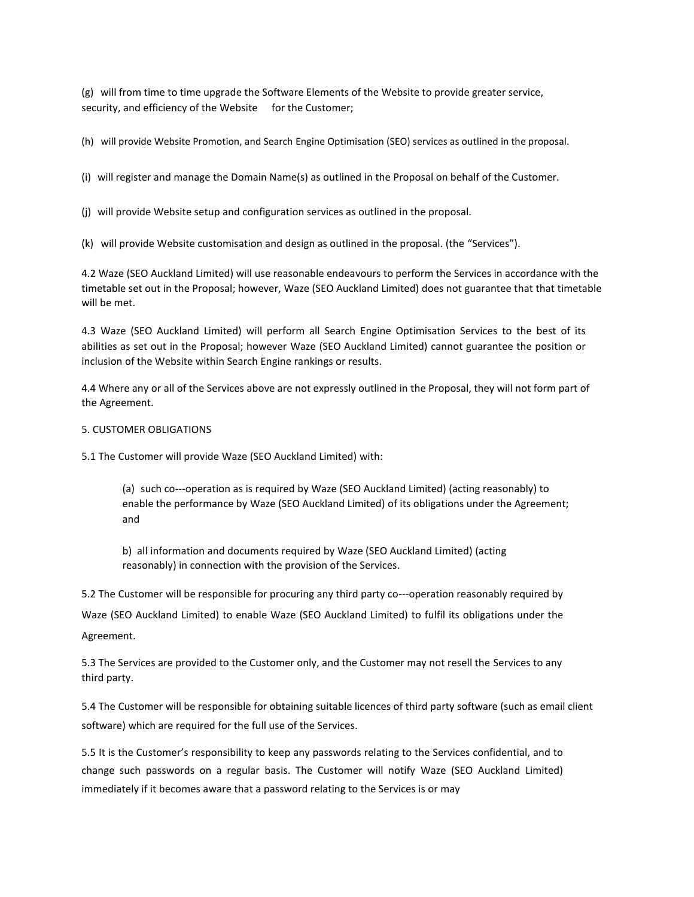(g) will from time to time upgrade the Software Elements of the Website to provide greater service, security, and efficiency of the Website for the Customer;

(h) will provide Website Promotion, and Search Engine Optimisation (SEO) services as outlined in the proposal.

(i) will register and manage the Domain Name(s) as outlined in the Proposal on behalf of the Customer.

(j) will provide Website setup and configuration services as outlined in the proposal.

(k) will provide Website customisation and design as outlined in the proposal. (the "Services").

4.2 Waze (SEO Auckland Limited) will use reasonable endeavours to perform the Services in accordance with the timetable set out in the Proposal; however, Waze (SEO Auckland Limited) does not guarantee that that timetable will be met.

4.3 Waze (SEO Auckland Limited) will perform all Search Engine Optimisation Services to the best of its abilities as set out in the Proposal; however Waze (SEO Auckland Limited) cannot guarantee the position or inclusion of the Website within Search Engine rankings or results.

4.4 Where any or all of the Services above are not expressly outlined in the Proposal, they will not form part of the Agreement.

#### 5. CUSTOMER OBLIGATIONS

5.1 The Customer will provide Waze (SEO Auckland Limited) with:

(a) such co---operation as is required by Waze (SEO Auckland Limited) (acting reasonably) to enable the performance by Waze (SEO Auckland Limited) of its obligations under the Agreement; and

b) all information and documents required by Waze (SEO Auckland Limited) (acting reasonably) in connection with the provision of the Services.

5.2 The Customer will be responsible for procuring any third party co---operation reasonably required by Waze (SEO Auckland Limited) to enable Waze (SEO Auckland Limited) to fulfil its obligations under the Agreement.

5.3 The Services are provided to the Customer only, and the Customer may not resell the Services to any third party.

5.4 The Customer will be responsible for obtaining suitable licences of third party software (such as email client software) which are required for the full use of the Services.

5.5 It is the Customer's responsibility to keep any passwords relating to the Services confidential, and to change such passwords on a regular basis. The Customer will notify Waze (SEO Auckland Limited) immediately if it becomes aware that a password relating to the Services is or may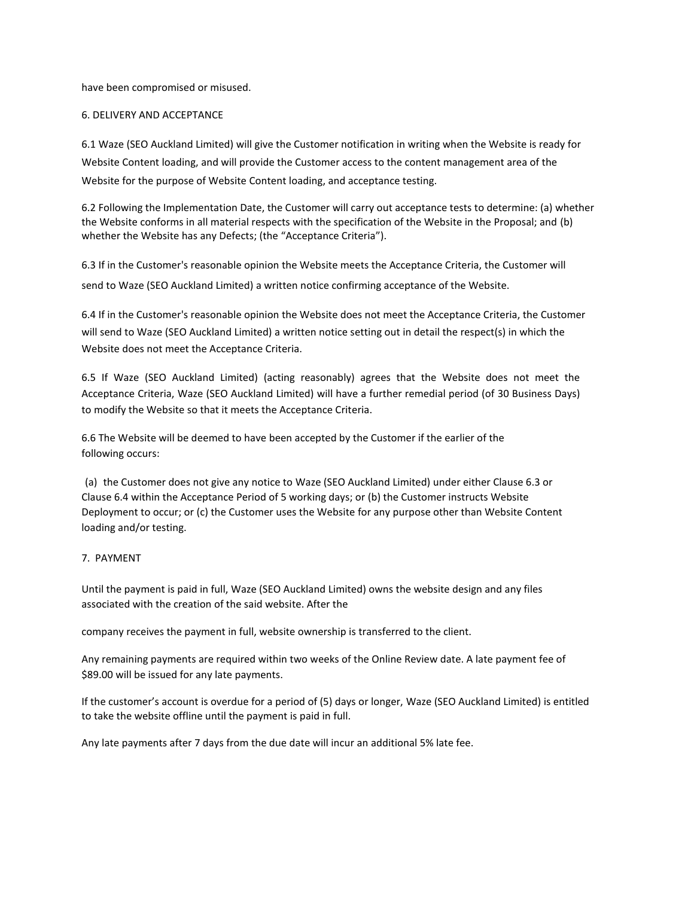have been compromised or misused.

# 6. DELIVERY AND ACCEPTANCE

6.1 Waze (SEO Auckland Limited) will give the Customer notification in writing when the Website is ready for Website Content loading, and will provide the Customer access to the content management area of the Website for the purpose of Website Content loading, and acceptance testing.

6.2 Following the Implementation Date, the Customer will carry out acceptance tests to determine: (a) whether the Website conforms in all material respects with the specification of the Website in the Proposal; and (b) whether the Website has any Defects; (the "Acceptance Criteria").

6.3 If in the Customer's reasonable opinion the Website meets the Acceptance Criteria, the Customer will send to Waze (SEO Auckland Limited) a written notice confirming acceptance of the Website.

6.4 If in the Customer's reasonable opinion the Website does not meet the Acceptance Criteria, the Customer will send to Waze (SEO Auckland Limited) a written notice setting out in detail the respect(s) in which the Website does not meet the Acceptance Criteria.

6.5 If Waze (SEO Auckland Limited) (acting reasonably) agrees that the Website does not meet the Acceptance Criteria, Waze (SEO Auckland Limited) will have a further remedial period (of 30 Business Days) to modify the Website so that it meets the Acceptance Criteria.

6.6 The Website will be deemed to have been accepted by the Customer if the earlier of the following occurs:

(a) the Customer does not give any notice to Waze (SEO Auckland Limited) under either Clause 6.3 or Clause 6.4 within the Acceptance Period of 5 working days; or (b) the Customer instructs Website Deployment to occur; or (c) the Customer uses the Website for any purpose other than Website Content loading and/or testing.

# 7. PAYMENT

Until the payment is paid in full, Waze (SEO Auckland Limited) owns the website design and any files associated with the creation of the said website. After the

company receives the payment in full, website ownership is transferred to the client.

Any remaining payments are required within two weeks of the Online Review date. A late payment fee of \$89.00 will be issued for any late payments.

If the customer's account is overdue for a period of (5) days or longer, Waze (SEO Auckland Limited) is entitled to take the website offline until the payment is paid in full.

Any late payments after 7 days from the due date will incur an additional 5% late fee.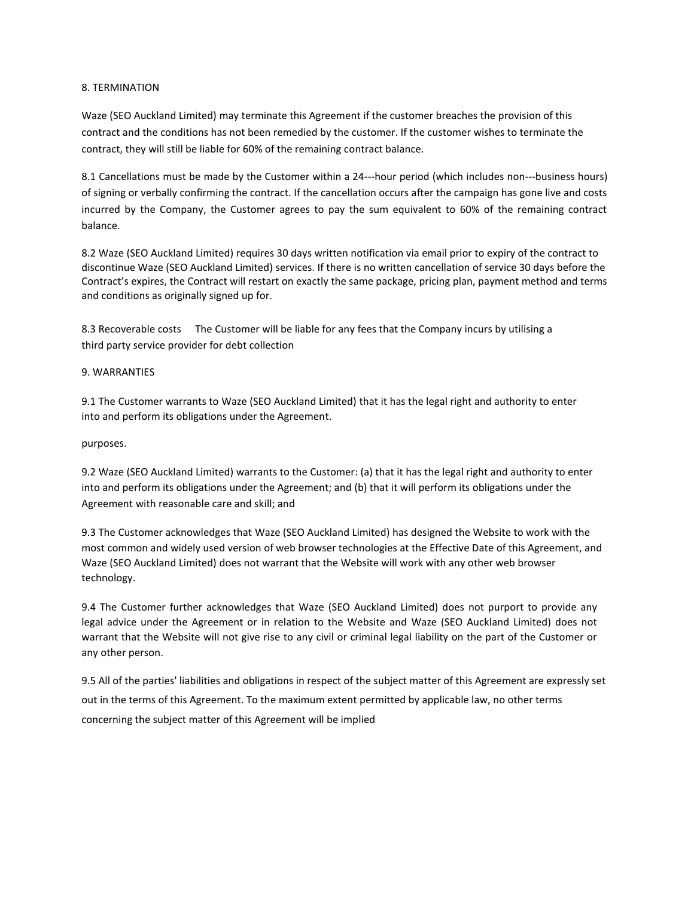# 8. TERMINATION

Waze (SEO Auckland Limited) may terminate this Agreement if the customer breaches the provision of this contract and the conditions has not been remedied by the customer. If the customer wishes to terminate the contract, they will still be liable for 60% of the remaining contract balance.

8.1 Cancellations must be made by the Customer within a 24---hour period (which includes non---business hours) of signing or verbally confirming the contract. If the cancellation occurs after the campaign has gone live and costs incurred by the Company, the Customer agrees to pay the sum equivalent to 60% of the remaining contract balance.

8.2 Waze (SEO Auckland Limited) requires 30 days written notification via email prior to expiry of the contract to discontinue Waze (SEO Auckland Limited) services. If there is no written cancellation of service 30 days before the Contract's expires, the Contract will restart on exactly the same package, pricing plan, payment method and terms and conditions as originally signed up for.

8.3 Recoverable costs The Customer will be liable for any fees that the Company incurs by utilising a third party service provider for debt collection

# 9. WARRANTIES

9.1 The Customer warrants to Waze (SEO Auckland Limited) that it has the legal right and authority to enter into and perform its obligations under the Agreement.

### purposes.

9.2 Waze (SEO Auckland Limited) warrants to the Customer: (a) that it has the legal right and authority to enter into and perform its obligations under the Agreement; and (b) that it will perform its obligations under the Agreement with reasonable care and skill; and

9.3 The Customer acknowledges that Waze (SEO Auckland Limited) has designed the Website to work with the most common and widely used version of web browser technologies at the Effective Date of this Agreement, and Waze (SEO Auckland Limited) does not warrant that the Website will work with any other web browser technology.

9.4 The Customer further acknowledges that Waze (SEO Auckland Limited) does not purport to provide any legal advice under the Agreement or in relation to the Website and Waze (SEO Auckland Limited) does not warrant that the Website will not give rise to any civil or criminal legal liability on the part of the Customer or any other person.

9.5 All of the parties' liabilities and obligations in respect of the subject matter of this Agreement are expressly set out in the terms of this Agreement. To the maximum extent permitted by applicable law, no other terms concerning the subject matter of this Agreement will be implied